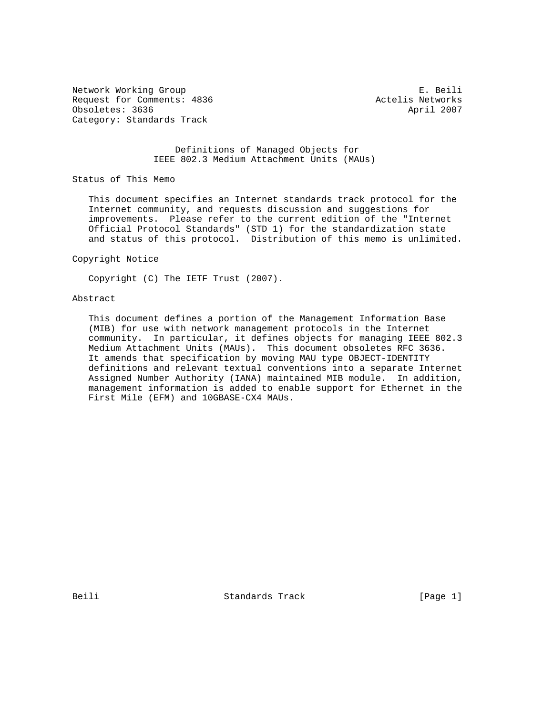Network Working Group **E. Beili** Request for Comments: 4836 Actelis Networks Obsoletes: 3636 April 2007 Category: Standards Track

## Definitions of Managed Objects for IEEE 802.3 Medium Attachment Units (MAUs)

Status of This Memo

 This document specifies an Internet standards track protocol for the Internet community, and requests discussion and suggestions for improvements. Please refer to the current edition of the "Internet Official Protocol Standards" (STD 1) for the standardization state and status of this protocol. Distribution of this memo is unlimited.

Copyright Notice

Copyright (C) The IETF Trust (2007).

### Abstract

 This document defines a portion of the Management Information Base (MIB) for use with network management protocols in the Internet community. In particular, it defines objects for managing IEEE 802.3 Medium Attachment Units (MAUs). This document obsoletes RFC 3636. It amends that specification by moving MAU type OBJECT-IDENTITY definitions and relevant textual conventions into a separate Internet Assigned Number Authority (IANA) maintained MIB module. In addition, management information is added to enable support for Ethernet in the First Mile (EFM) and 10GBASE-CX4 MAUs.

Beili Standards Track [Page 1]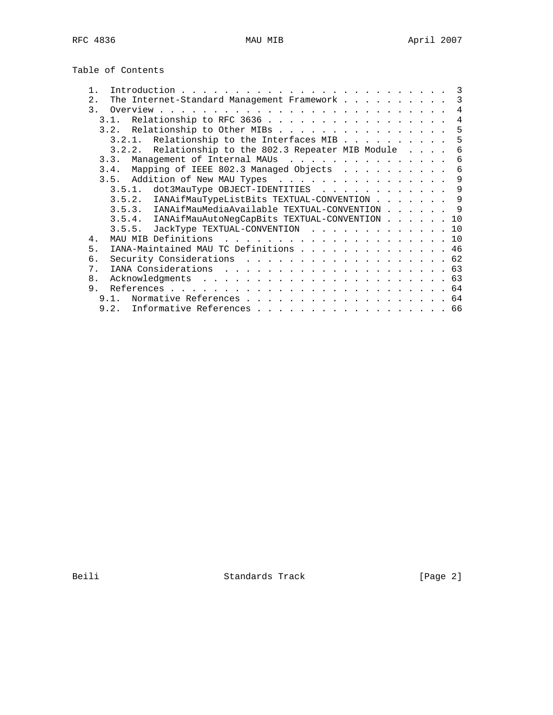|  | Table of Contents |  |  |
|--|-------------------|--|--|
|  |                   |  |  |

|       |      |                                                      |  |  |  |  | 3   |
|-------|------|------------------------------------------------------|--|--|--|--|-----|
| 2.    |      | The Internet-Standard Management Framework           |  |  |  |  | 3   |
|       |      |                                                      |  |  |  |  | 4   |
|       |      | 3.1. Relationship to RFC 3636                        |  |  |  |  | 4   |
|       |      | 3.2. Relationship to Other MIBs                      |  |  |  |  | 5   |
|       |      | 3.2.1. Relationship to the Interfaces MIB            |  |  |  |  | 5   |
|       |      | 3.2.2. Relationship to the 802.3 Repeater MIB Module |  |  |  |  | 6   |
|       | 3.3. | Management of Internal MAUs                          |  |  |  |  | 6   |
|       |      | 3.4. Mapping of IEEE 802.3 Managed Objects           |  |  |  |  | 6   |
|       |      | 3.5. Addition of New MAU Types                       |  |  |  |  | 9   |
|       |      | dot3MauType OBJECT-IDENTITIES<br>3.5.1.              |  |  |  |  | 9   |
|       |      | 3.5.2. IANAifMauTypeListBits TEXTUAL-CONVENTION 9    |  |  |  |  |     |
|       |      | 3.5.3. IANAifMauMediaAvailable TEXTUAL-CONVENTION    |  |  |  |  | - 9 |
|       |      | 3.5.4. IANAifMauAutoNegCapBits TEXTUAL-CONVENTION    |  |  |  |  | 10  |
|       |      | 3.5.5. JackType TEXTUAL-CONVENTION 10                |  |  |  |  |     |
| $4$ . |      | MAU MIB Definitions                                  |  |  |  |  |     |
| 5.    |      | IANA-Maintained MAU TC Definitions 46                |  |  |  |  |     |
| б.    |      | Security Considerations 62                           |  |  |  |  |     |
| $7$ . |      |                                                      |  |  |  |  |     |
| 8.    |      |                                                      |  |  |  |  |     |
| 9.    |      |                                                      |  |  |  |  |     |
|       | 9.1. | Normative References 64                              |  |  |  |  |     |
|       |      | 9.2. Informative References 66                       |  |  |  |  |     |

Beili Standards Track [Page 2]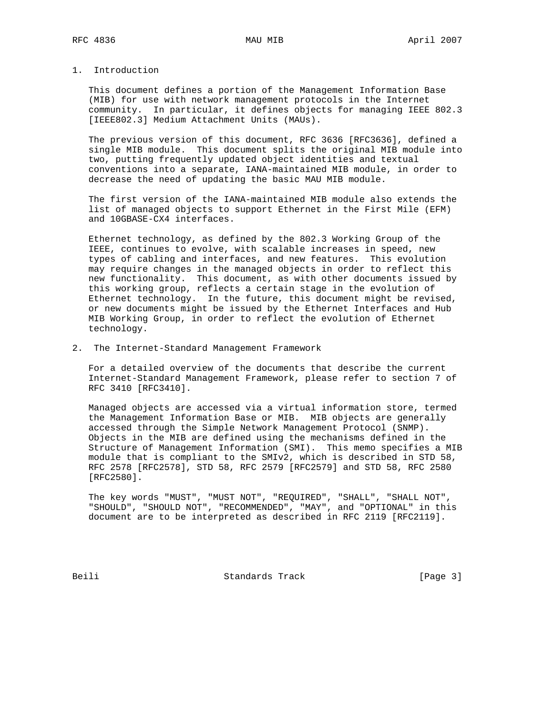# 1. Introduction

 This document defines a portion of the Management Information Base (MIB) for use with network management protocols in the Internet community. In particular, it defines objects for managing IEEE 802.3 [IEEE802.3] Medium Attachment Units (MAUs).

 The previous version of this document, RFC 3636 [RFC3636], defined a single MIB module. This document splits the original MIB module into two, putting frequently updated object identities and textual conventions into a separate, IANA-maintained MIB module, in order to decrease the need of updating the basic MAU MIB module.

 The first version of the IANA-maintained MIB module also extends the list of managed objects to support Ethernet in the First Mile (EFM) and 10GBASE-CX4 interfaces.

 Ethernet technology, as defined by the 802.3 Working Group of the IEEE, continues to evolve, with scalable increases in speed, new types of cabling and interfaces, and new features. This evolution may require changes in the managed objects in order to reflect this new functionality. This document, as with other documents issued by this working group, reflects a certain stage in the evolution of Ethernet technology. In the future, this document might be revised, or new documents might be issued by the Ethernet Interfaces and Hub MIB Working Group, in order to reflect the evolution of Ethernet technology.

2. The Internet-Standard Management Framework

 For a detailed overview of the documents that describe the current Internet-Standard Management Framework, please refer to section 7 of RFC 3410 [RFC3410].

 Managed objects are accessed via a virtual information store, termed the Management Information Base or MIB. MIB objects are generally accessed through the Simple Network Management Protocol (SNMP). Objects in the MIB are defined using the mechanisms defined in the Structure of Management Information (SMI). This memo specifies a MIB module that is compliant to the SMIv2, which is described in STD 58, RFC 2578 [RFC2578], STD 58, RFC 2579 [RFC2579] and STD 58, RFC 2580 [RFC2580].

 The key words "MUST", "MUST NOT", "REQUIRED", "SHALL", "SHALL NOT", "SHOULD", "SHOULD NOT", "RECOMMENDED", "MAY", and "OPTIONAL" in this document are to be interpreted as described in RFC 2119 [RFC2119].

Beili Standards Track [Page 3]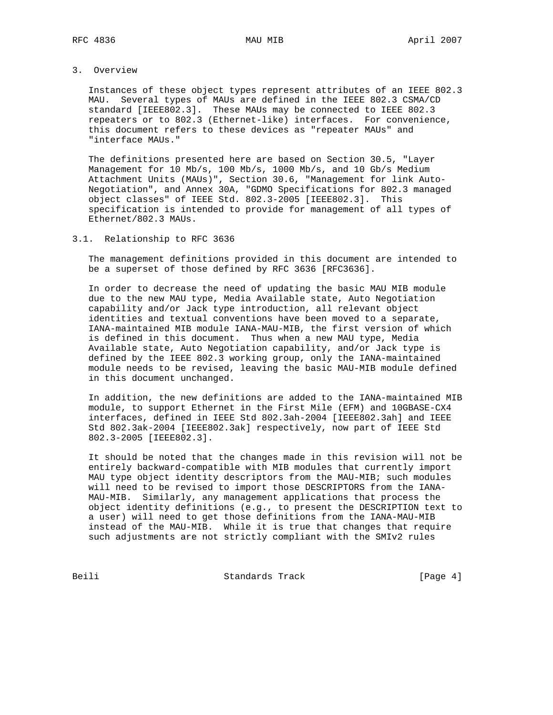# 3. Overview

 Instances of these object types represent attributes of an IEEE 802.3 MAU. Several types of MAUs are defined in the IEEE 802.3 CSMA/CD standard [IEEE802.3]. These MAUs may be connected to IEEE 802.3 repeaters or to 802.3 (Ethernet-like) interfaces. For convenience, this document refers to these devices as "repeater MAUs" and "interface MAUs."

 The definitions presented here are based on Section 30.5, "Layer Management for 10 Mb/s, 100 Mb/s, 1000 Mb/s, and 10 Gb/s Medium Attachment Units (MAUs)", Section 30.6, "Management for link Auto- Negotiation", and Annex 30A, "GDMO Specifications for 802.3 managed object classes" of IEEE Std. 802.3-2005 [IEEE802.3]. This specification is intended to provide for management of all types of Ethernet/802.3 MAUs.

### 3.1. Relationship to RFC 3636

 The management definitions provided in this document are intended to be a superset of those defined by RFC 3636 [RFC3636].

 In order to decrease the need of updating the basic MAU MIB module due to the new MAU type, Media Available state, Auto Negotiation capability and/or Jack type introduction, all relevant object identities and textual conventions have been moved to a separate, IANA-maintained MIB module IANA-MAU-MIB, the first version of which is defined in this document. Thus when a new MAU type, Media Available state, Auto Negotiation capability, and/or Jack type is defined by the IEEE 802.3 working group, only the IANA-maintained module needs to be revised, leaving the basic MAU-MIB module defined in this document unchanged.

 In addition, the new definitions are added to the IANA-maintained MIB module, to support Ethernet in the First Mile (EFM) and 10GBASE-CX4 interfaces, defined in IEEE Std 802.3ah-2004 [IEEE802.3ah] and IEEE Std 802.3ak-2004 [IEEE802.3ak] respectively, now part of IEEE Std 802.3-2005 [IEEE802.3].

 It should be noted that the changes made in this revision will not be entirely backward-compatible with MIB modules that currently import MAU type object identity descriptors from the MAU-MIB; such modules will need to be revised to import those DESCRIPTORS from the IANA- MAU-MIB. Similarly, any management applications that process the object identity definitions (e.g., to present the DESCRIPTION text to a user) will need to get those definitions from the IANA-MAU-MIB instead of the MAU-MIB. While it is true that changes that require such adjustments are not strictly compliant with the SMIv2 rules

Beili Standards Track [Page 4]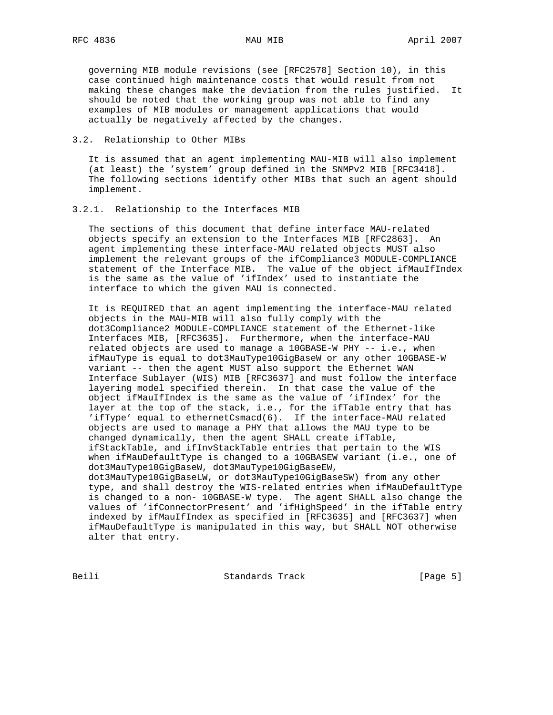governing MIB module revisions (see [RFC2578] Section 10), in this case continued high maintenance costs that would result from not making these changes make the deviation from the rules justified. It should be noted that the working group was not able to find any examples of MIB modules or management applications that would actually be negatively affected by the changes.

## 3.2. Relationship to Other MIBs

 It is assumed that an agent implementing MAU-MIB will also implement (at least) the 'system' group defined in the SNMPv2 MIB [RFC3418]. The following sections identify other MIBs that such an agent should implement.

3.2.1. Relationship to the Interfaces MIB

 The sections of this document that define interface MAU-related objects specify an extension to the Interfaces MIB [RFC2863]. An agent implementing these interface-MAU related objects MUST also implement the relevant groups of the ifCompliance3 MODULE-COMPLIANCE statement of the Interface MIB. The value of the object ifMauIfIndex is the same as the value of 'ifIndex' used to instantiate the interface to which the given MAU is connected.

 It is REQUIRED that an agent implementing the interface-MAU related objects in the MAU-MIB will also fully comply with the dot3Compliance2 MODULE-COMPLIANCE statement of the Ethernet-like Interfaces MIB, [RFC3635]. Furthermore, when the interface-MAU related objects are used to manage a 10GBASE-W PHY -- i.e., when ifMauType is equal to dot3MauType10GigBaseW or any other 10GBASE-W variant -- then the agent MUST also support the Ethernet WAN Interface Sublayer (WIS) MIB [RFC3637] and must follow the interface layering model specified therein. In that case the value of the object ifMauIfIndex is the same as the value of 'ifIndex' for the layer at the top of the stack, i.e., for the ifTable entry that has 'ifType' equal to ethernetCsmacd(6). If the interface-MAU related objects are used to manage a PHY that allows the MAU type to be changed dynamically, then the agent SHALL create ifTable, ifStackTable, and ifInvStackTable entries that pertain to the WIS when ifMauDefaultType is changed to a 10GBASEW variant (i.e., one of dot3MauType10GigBaseW, dot3MauType10GigBaseEW, dot3MauType10GigBaseLW, or dot3MauType10GigBaseSW) from any other type, and shall destroy the WIS-related entries when ifMauDefaultType is changed to a non- 10GBASE-W type. The agent SHALL also change the values of 'ifConnectorPresent' and 'ifHighSpeed' in the ifTable entry indexed by ifMauIfIndex as specified in [RFC3635] and [RFC3637] when ifMauDefaultType is manipulated in this way, but SHALL NOT otherwise alter that entry.

Beili Standards Track [Page 5]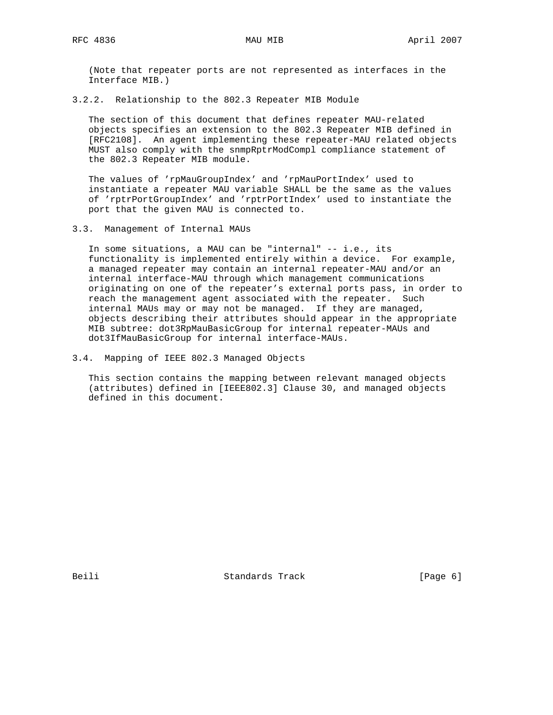(Note that repeater ports are not represented as interfaces in the Interface MIB.)

3.2.2. Relationship to the 802.3 Repeater MIB Module

 The section of this document that defines repeater MAU-related objects specifies an extension to the 802.3 Repeater MIB defined in [RFC2108]. An agent implementing these repeater-MAU related objects MUST also comply with the snmpRptrModCompl compliance statement of the 802.3 Repeater MIB module.

 The values of 'rpMauGroupIndex' and 'rpMauPortIndex' used to instantiate a repeater MAU variable SHALL be the same as the values of 'rptrPortGroupIndex' and 'rptrPortIndex' used to instantiate the port that the given MAU is connected to.

3.3. Management of Internal MAUs

 In some situations, a MAU can be "internal" -- i.e., its functionality is implemented entirely within a device. For example, a managed repeater may contain an internal repeater-MAU and/or an internal interface-MAU through which management communications originating on one of the repeater's external ports pass, in order to reach the management agent associated with the repeater. Such internal MAUs may or may not be managed. If they are managed, objects describing their attributes should appear in the appropriate MIB subtree: dot3RpMauBasicGroup for internal repeater-MAUs and dot3IfMauBasicGroup for internal interface-MAUs.

3.4. Mapping of IEEE 802.3 Managed Objects

 This section contains the mapping between relevant managed objects (attributes) defined in [IEEE802.3] Clause 30, and managed objects defined in this document.

Beili Standards Track [Page 6]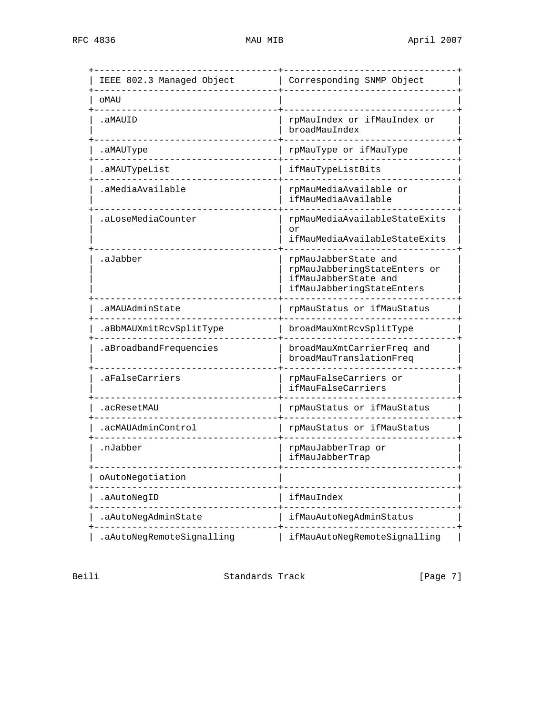| IEEE 802.3 Managed Object | Corresponding SNMP Object                                                                                 |
|---------------------------|-----------------------------------------------------------------------------------------------------------|
| oMAU                      |                                                                                                           |
| .aMAUID                   | rpMauIndex or ifMauIndex or<br>broadMauIndex                                                              |
| .aMAUType                 | rpMauType or ifMauType                                                                                    |
| .aMAUTypeList             | ifMauTypeListBits                                                                                         |
| .aMediaAvailable          | rpMauMediaAvailable or<br>ifMauMediaAvailable                                                             |
| .aLoseMediaCounter        | rpMauMediaAvailableStateExits<br>or<br>ifMauMediaAvailableStateExits                                      |
| .aJabber                  | rpMauJabberState and<br>rpMauJabberingStateEnters or<br>ifMauJabberState and<br>ifMauJabberingStateEnters |
| .aMAUAdminState           | rpMauStatus or ifMauStatus                                                                                |
| .aBbMAUXmitRcvSplitType   | broadMauXmtRcvSplitType                                                                                   |
| .aBroadbandFrequencies    | broadMauXmtCarrierFreq and<br>broadMauTranslationFreq                                                     |
| .aFalseCarriers           | rpMauFalseCarriers or<br>ifMauFalseCarriers                                                               |
| .acResetMAU               | rpMauStatus or ifMauStatus                                                                                |
| acMAUAdminControl         | rpMauStatus or ifMauStatus                                                                                |
| .nJabber                  | rpMauJabberTrap or<br>ifMauJabberTrap                                                                     |
| oAutoNegotiation          |                                                                                                           |
| .aAutoNegID               | ifMauIndex                                                                                                |
| .aAutoNegAdminState       | ifMauAutoNegAdminStatus                                                                                   |
| .aAutoNegRemoteSignalling | ifMauAutoNegRemoteSignalling                                                                              |

Beili Standards Track [Page 7]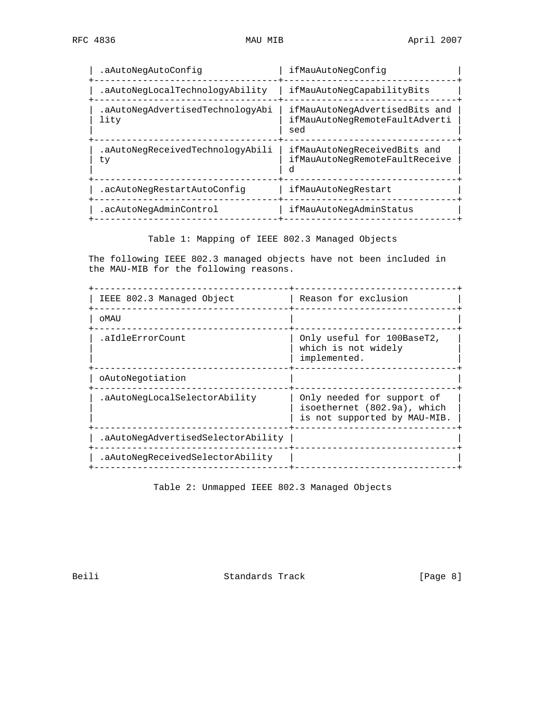| .aAutoNegAutoConfiq                      | ifMauAutoNegConfig                                                      |
|------------------------------------------|-------------------------------------------------------------------------|
| .aAutoNeqLocalTechnologyAbility          | ifMauAutoNeqCapabilityBits                                              |
| .aAutoNegAdvertisedTechnologyAbi<br>lity | ifMauAutoNegAdvertisedBits and<br>ifMauAutoNegRemoteFaultAdverti<br>sed |
| .aAutoNegReceivedTechnologyAbili<br>ty   | ifMauAutoNegReceivedBits and<br>ifMauAutoNeqRemoteFaultReceive          |
| .acAutoNegRestartAutoConfig              | ifMauAutoNegRestart                                                     |
| .acAutoNegAdminControl                   | ifMauAutoNegAdminStatus                                                 |
|                                          |                                                                         |

Table 1: Mapping of IEEE 802.3 Managed Objects

 The following IEEE 802.3 managed objects have not been included in the MAU-MIB for the following reasons.

| Reason for exclusion                                                                      |
|-------------------------------------------------------------------------------------------|
|                                                                                           |
| Only useful for 100BaseT2,<br>which is not widely<br>implemented.                         |
|                                                                                           |
| Only needed for support of<br>isoethernet (802.9a), which<br>is not supported by MAU-MIB. |
|                                                                                           |
|                                                                                           |
|                                                                                           |

Table 2: Unmapped IEEE 802.3 Managed Objects

Beili Standards Track [Page 8]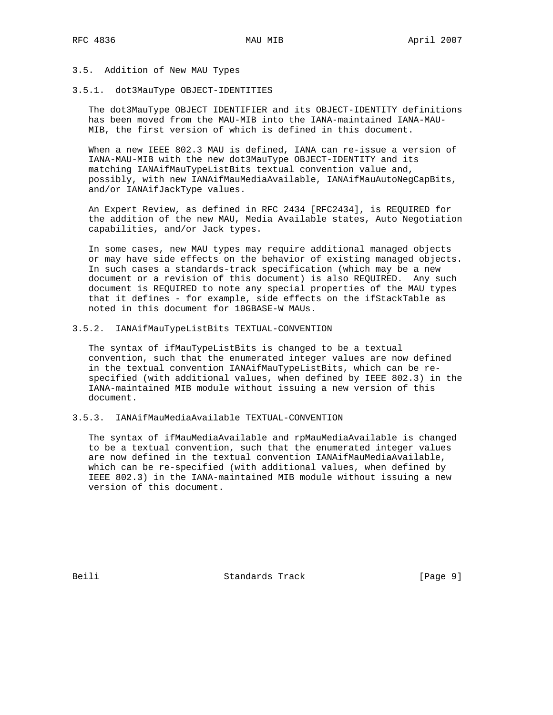## 3.5. Addition of New MAU Types

### 3.5.1. dot3MauType OBJECT-IDENTITIES

 The dot3MauType OBJECT IDENTIFIER and its OBJECT-IDENTITY definitions has been moved from the MAU-MIB into the IANA-maintained IANA-MAU- MIB, the first version of which is defined in this document.

 When a new IEEE 802.3 MAU is defined, IANA can re-issue a version of IANA-MAU-MIB with the new dot3MauType OBJECT-IDENTITY and its matching IANAifMauTypeListBits textual convention value and, possibly, with new IANAifMauMediaAvailable, IANAifMauAutoNegCapBits, and/or IANAifJackType values.

 An Expert Review, as defined in RFC 2434 [RFC2434], is REQUIRED for the addition of the new MAU, Media Available states, Auto Negotiation capabilities, and/or Jack types.

 In some cases, new MAU types may require additional managed objects or may have side effects on the behavior of existing managed objects. In such cases a standards-track specification (which may be a new document or a revision of this document) is also REQUIRED. Any such document is REQUIRED to note any special properties of the MAU types that it defines - for example, side effects on the ifStackTable as noted in this document for 10GBASE-W MAUs.

### 3.5.2. IANAifMauTypeListBits TEXTUAL-CONVENTION

 The syntax of ifMauTypeListBits is changed to be a textual convention, such that the enumerated integer values are now defined in the textual convention IANAifMauTypeListBits, which can be re specified (with additional values, when defined by IEEE 802.3) in the IANA-maintained MIB module without issuing a new version of this document.

# 3.5.3. IANAifMauMediaAvailable TEXTUAL-CONVENTION

 The syntax of ifMauMediaAvailable and rpMauMediaAvailable is changed to be a textual convention, such that the enumerated integer values are now defined in the textual convention IANAifMauMediaAvailable, which can be re-specified (with additional values, when defined by IEEE 802.3) in the IANA-maintained MIB module without issuing a new version of this document.

Beili Standards Track [Page 9]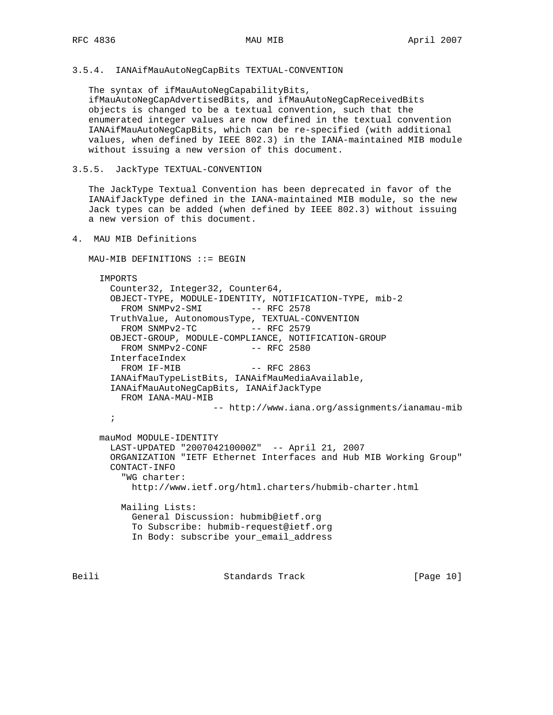## 3.5.4. IANAifMauAutoNegCapBits TEXTUAL-CONVENTION

 The syntax of ifMauAutoNegCapabilityBits, ifMauAutoNegCapAdvertisedBits, and ifMauAutoNegCapReceivedBits objects is changed to be a textual convention, such that the enumerated integer values are now defined in the textual convention IANAifMauAutoNegCapBits, which can be re-specified (with additional values, when defined by IEEE 802.3) in the IANA-maintained MIB module without issuing a new version of this document.

3.5.5. JackType TEXTUAL-CONVENTION

 The JackType Textual Convention has been deprecated in favor of the IANAifJackType defined in the IANA-maintained MIB module, so the new Jack types can be added (when defined by IEEE 802.3) without issuing a new version of this document.

4. MAU MIB Definitions

 $MAU-MIB$  DEFINITIONS ::= BEGIN

 IMPORTS Counter32, Integer32, Counter64, OBJECT-TYPE, MODULE-IDENTITY, NOTIFICATION-TYPE, mib-2 FROM SNMPv2-SMI -- RFC 2578 TruthValue, AutonomousType, TEXTUAL-CONVENTION  $FROM$  SNMP $v2-TC$   $--$  RFC 2579 OBJECT-GROUP, MODULE-COMPLIANCE, NOTIFICATION-GROUP FROM SNMPv2-CONF -- RFC 2580 InterfaceIndex FROM IF-MIB -- RFC 2863 IANAifMauTypeListBits, IANAifMauMediaAvailable, IANAifMauAutoNegCapBits, IANAifJackType FROM IANA-MAU-MIB -- http://www.iana.org/assignments/ianamau-mib ; mauMod MODULE-IDENTITY LAST-UPDATED "200704210000Z" -- April 21, 2007 ORGANIZATION "IETF Ethernet Interfaces and Hub MIB Working Group" CONTACT-INFO "WG charter: http://www.ietf.org/html.charters/hubmib-charter.html Mailing Lists: General Discussion: hubmib@ietf.org To Subscribe: hubmib-request@ietf.org In Body: subscribe your\_email\_address

Beili Standards Track [Page 10]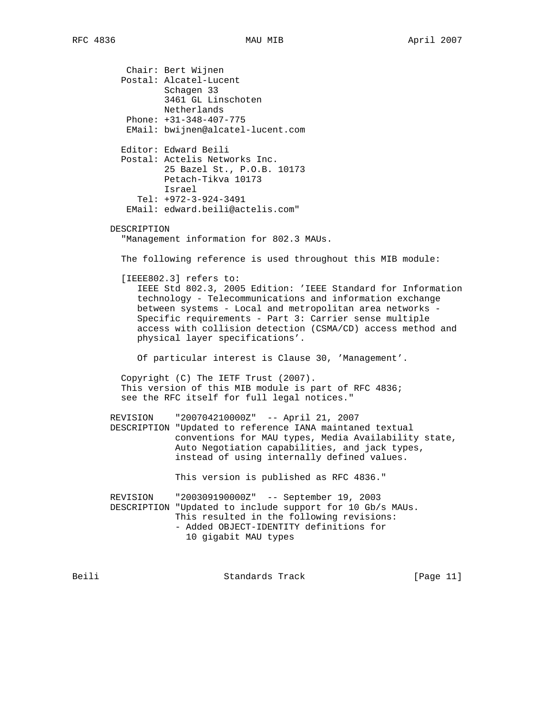Chair: Bert Wijnen Postal: Alcatel-Lucent Schagen 33 3461 GL Linschoten Netherlands Phone: +31-348-407-775 EMail: bwijnen@alcatel-lucent.com Editor: Edward Beili Postal: Actelis Networks Inc. 25 Bazel St., P.O.B. 10173 Petach-Tikva 10173 Israel Tel: +972-3-924-3491 EMail: edward.beili@actelis.com" DESCRIPTION "Management information for 802.3 MAUs. The following reference is used throughout this MIB module: [IEEE802.3] refers to: IEEE Std 802.3, 2005 Edition: 'IEEE Standard for Information technology - Telecommunications and information exchange between systems - Local and metropolitan area networks - Specific requirements - Part 3: Carrier sense multiple access with collision detection (CSMA/CD) access method and physical layer specifications'. Of particular interest is Clause 30, 'Management'. Copyright (C) The IETF Trust (2007). This version of this MIB module is part of RFC 4836; see the RFC itself for full legal notices." REVISION "200704210000Z" -- April 21, 2007 DESCRIPTION "Updated to reference IANA maintaned textual conventions for MAU types, Media Availability state, Auto Negotiation capabilities, and jack types, instead of using internally defined values. This version is published as RFC 4836." REVISION "200309190000Z" -- September 19, 2003 DESCRIPTION "Updated to include support for 10 Gb/s MAUs. This resulted in the following revisions: - Added OBJECT-IDENTITY definitions for 10 gigabit MAU types Beili Standards Track [Page 11]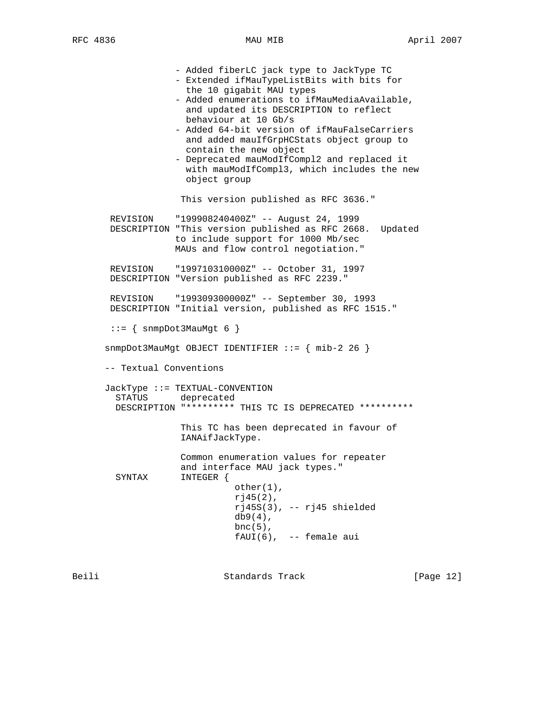- Added fiberLC jack type to JackType TC - Extended ifMauTypeListBits with bits for the 10 gigabit MAU types - Added enumerations to ifMauMediaAvailable, and updated its DESCRIPTION to reflect behaviour at 10 Gb/s - Added 64-bit version of ifMauFalseCarriers and added mauIfGrpHCStats object group to contain the new object - Deprecated mauModIfCompl2 and replaced it with mauModIfCompl3, which includes the new object group This version published as RFC 3636." REVISION "199908240400Z" -- August 24, 1999 DESCRIPTION "This version published as RFC 2668. Updated to include support for 1000 Mb/sec MAUs and flow control negotiation." REVISION "199710310000Z" -- October 31, 1997 DESCRIPTION "Version published as RFC 2239." REVISION "199309300000Z" -- September 30, 1993 DESCRIPTION "Initial version, published as RFC 1515."  $::=$  { snmpDot3MauMgt 6 } snmpDot3MauMgt OBJECT IDENTIFIER ::= { mib-2 26 } -- Textual Conventions JackType ::= TEXTUAL-CONVENTION deprecated DESCRIPTION "\*\*\*\*\*\*\*\*\* THIS TC IS DEPRECATED \*\*\*\*\*\*\*\*\*\* This TC has been deprecated in favour of IANAifJackType. Common enumeration values for repeater and interface MAU jack types." SYNTAX INTEGER { other(1),  $r$  $j$ 45(2),  $rj45S(3)$ , --  $rj45$  shielded db9(4), bnc $(5)$ ,  $fAUI(6)$ , -- female aui

Beili Standards Track [Page 12]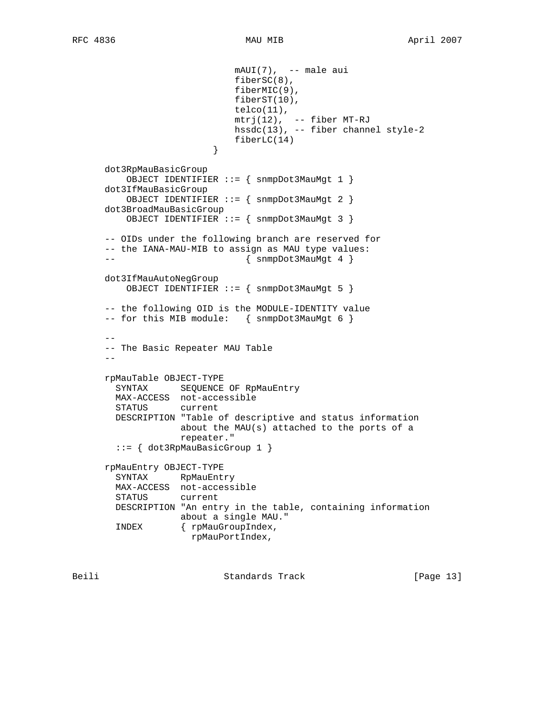```
 mAUI(7), -- male aui
                              fiberSC(8),
                              fiberMIC(9),
                              fiberST(10),
                              telco(11),
                             mtrj(12), -- fiber MT-RJ
                             hssdc(13), -- fiber channel style-2
                         fiberLC(14)<br>}
 }
      dot3RpMauBasicGroup
          OBJECT IDENTIFIER ::= { snmpDot3MauMgt 1 }
      dot3IfMauBasicGroup
          OBJECT IDENTIFIER ::= { snmpDot3MauMgt 2 }
      dot3BroadMauBasicGroup
          OBJECT IDENTIFIER ::= { snmpDot3MauMgt 3 }
      -- OIDs under the following branch are reserved for
      -- the IANA-MAU-MIB to assign as MAU type values:
     -- \{ \text{snmpDot 3MauMgt 4 } \} dot3IfMauAutoNegGroup
          OBJECT IDENTIFIER ::= { snmpDot3MauMgt 5 }
      -- the following OID is the MODULE-IDENTITY value
     -- for this MIB module: { snmpDot3MauMgt 6 }
 --
      -- The Basic Repeater MAU Table
 --
      rpMauTable OBJECT-TYPE
        SYNTAX SEQUENCE OF RpMauEntry
        MAX-ACCESS not-accessible
        STATUS current
        DESCRIPTION "Table of descriptive and status information
                   about the MAU(s) attached to the ports of a
                    repeater."
        ::= { dot3RpMauBasicGroup 1 }
      rpMauEntry OBJECT-TYPE
        SYNTAX RpMauEntry
        MAX-ACCESS not-accessible
        STATUS current
        DESCRIPTION "An entry in the table, containing information
                   about a single MAU."
        INDEX { rpMauGroupIndex,
                     rpMauPortIndex,
```
Beili Standards Track [Page 13]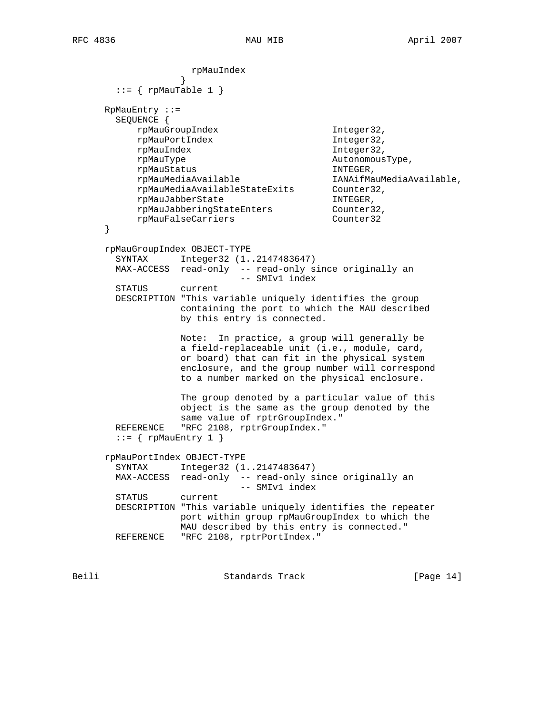rpMauIndex }  $::=$  { rpMauTable 1 } RpMauEntry ::= SEQUENCE { rpMauGroupIndex Integer32, rpMauPortIndex Integer32, rpMauIndex Integer32, rpMauType AutonomousType, rpMauStatus INTEGER, rpMauMediaAvailable IANAifMauMediaAvailable,<br>
rpMauMediaAvailableStateExits Counter32, rpMauMediaAvailableStateExits Counter32, rpMauJabberState INTEGER, rpMauJabberingStateEnters Counter32, rpMauFalseCarriers Counter32 } rpMauGroupIndex OBJECT-TYPE SYNTAX Integer32 (1..2147483647) MAX-ACCESS read-only -- read-only since originally an -- SMIv1 index STATUS current DESCRIPTION "This variable uniquely identifies the group containing the port to which the MAU described by this entry is connected. Note: In practice, a group will generally be a field-replaceable unit (i.e., module, card, or board) that can fit in the physical system enclosure, and the group number will correspond to a number marked on the physical enclosure. The group denoted by a particular value of this object is the same as the group denoted by the same value of rptrGroupIndex." REFERENCE "RFC 2108, rptrGroupIndex."  $::=$  { rpMauEntry 1 } rpMauPortIndex OBJECT-TYPE SYNTAX Integer32 (1..2147483647) MAX-ACCESS read-only -- read-only since originally an -- SMIv1 index STATUS current DESCRIPTION "This variable uniquely identifies the repeater port within group rpMauGroupIndex to which the MAU described by this entry is connected." REFERENCE "RFC 2108, rptrPortIndex."

Beili Standards Track [Page 14]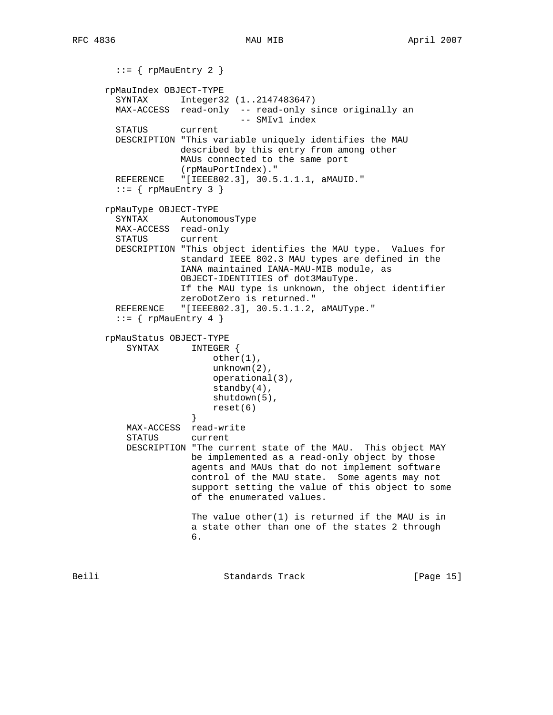```
::= { rpMauEntry 2 }
      rpMauIndex OBJECT-TYPE
        SYNTAX Integer32 (1..2147483647)
        MAX-ACCESS read-only -- read-only since originally an
                               -- SMIv1 index
        STATUS current
        DESCRIPTION "This variable uniquely identifies the MAU
                   described by this entry from among other
                    MAUs connected to the same port
                    (rpMauPortIndex)."
        REFERENCE "[IEEE802.3], 30.5.1.1.1, aMAUID."
       ::= { rpMauEntry 3 }
      rpMauType OBJECT-TYPE
        SYNTAX AutonomousType
        MAX-ACCESS read-only
        STATUS current
        DESCRIPTION "This object identifies the MAU type. Values for
                   standard IEEE 802.3 MAU types are defined in the
                    IANA maintained IANA-MAU-MIB module, as
                    OBJECT-IDENTITIES of dot3MauType.
                    If the MAU type is unknown, the object identifier
                   zeroDotZero is returned."
       REFERENCE "[IEEE802.3], 30.5.1.1.2, aMAUType."
       ::= { rpMauEntry 4 }
      rpMauStatus OBJECT-TYPE
          SYNTAX INTEGER {
                          other(1),
                          unknown(2),
                          operational(3),
                         standby(4),
                         shutdown(5),
                     reset(6)<br>}
 }
          MAX-ACCESS read-write
          STATUS current
          DESCRIPTION "The current state of the MAU. This object MAY
                      be implemented as a read-only object by those
                      agents and MAUs that do not implement software
                      control of the MAU state. Some agents may not
                      support setting the value of this object to some
                      of the enumerated values.
                      The value other(1) is returned if the MAU is in
                      a state other than one of the states 2 through
\overline{6}.
```
Beili Standards Track [Page 15]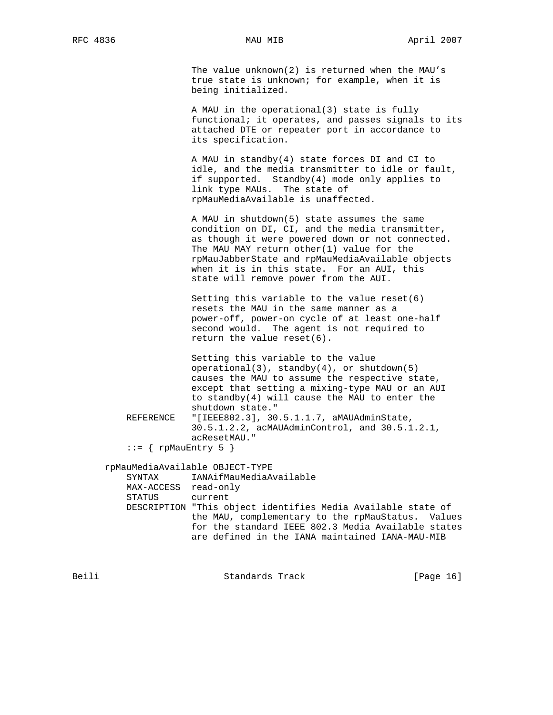The value unknown(2) is returned when the MAU's true state is unknown; for example, when it is being initialized.

 A MAU in the operational(3) state is fully functional; it operates, and passes signals to its attached DTE or repeater port in accordance to its specification.

 A MAU in standby(4) state forces DI and CI to idle, and the media transmitter to idle or fault, if supported. Standby(4) mode only applies to link type MAUs. The state of rpMauMediaAvailable is unaffected.

 A MAU in shutdown(5) state assumes the same condition on DI, CI, and the media transmitter, as though it were powered down or not connected. The MAU MAY return other(1) value for the rpMauJabberState and rpMauMediaAvailable objects when it is in this state. For an AUI, this state will remove power from the AUI.

 Setting this variable to the value reset(6) resets the MAU in the same manner as a power-off, power-on cycle of at least one-half second would. The agent is not required to return the value reset(6).

 Setting this variable to the value operational(3), standby(4), or shutdown(5) causes the MAU to assume the respective state, except that setting a mixing-type MAU or an AUI to standby(4) will cause the MAU to enter the shutdown state." REFERENCE "[IEEE802.3], 30.5.1.1.7, aMAUAdminState,

 30.5.1.2.2, acMAUAdminControl, and 30.5.1.2.1, acResetMAU."

```
::= { rpMauEntry 5 }
```
rpMauMediaAvailable OBJECT-TYPE

 SYNTAX IANAifMauMediaAvailable MAX-ACCESS read-only STATUS current DESCRIPTION "This object identifies Media Available state of the MAU, complementary to the rpMauStatus. Values for the standard IEEE 802.3 Media Available states are defined in the IANA maintained IANA-MAU-MIB

Beili Standards Track [Page 16]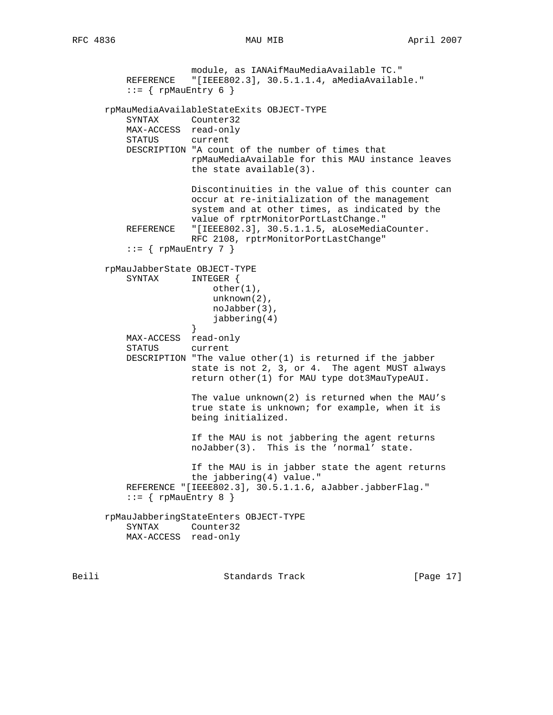module, as IANAifMauMediaAvailable TC."

 REFERENCE "[IEEE802.3], 30.5.1.1.4, aMediaAvailable."  $::=$  { rpMauEntry 6 } rpMauMediaAvailableStateExits OBJECT-TYPE SYNTAX Counter32 MAX-ACCESS read-only STATUS current DESCRIPTION "A count of the number of times that rpMauMediaAvailable for this MAU instance leaves the state available(3). Discontinuities in the value of this counter can occur at re-initialization of the management system and at other times, as indicated by the value of rptrMonitorPortLastChange."<br>REFERENCE "[IEEE802.3], 30.5.1.1.5, aLoseMedia "[IEEE802.3], 30.5.1.1.5, aLoseMediaCounter. RFC 2108, rptrMonitorPortLastChange"  $::=$  { rpMauEntry 7 } rpMauJabberState OBJECT-TYPE SYNTAX INTEGER { other(1), unknown(2), noJabber(3), jabbering(4)<br>} } MAX-ACCESS read-only STATUS current DESCRIPTION "The value other(1) is returned if the jabber state is not 2, 3, or 4. The agent MUST always return other(1) for MAU type dot3MauTypeAUI. The value unknown(2) is returned when the MAU's true state is unknown; for example, when it is being initialized. If the MAU is not jabbering the agent returns noJabber(3). This is the 'normal' state. If the MAU is in jabber state the agent returns the jabbering(4) value." REFERENCE "[IEEE802.3], 30.5.1.1.6, aJabber.jabberFlag."  $::=$  { rpMauEntry 8 } rpMauJabberingStateEnters OBJECT-TYPE SYNTAX Counter32 MAX-ACCESS read-only

Beili Standards Track [Page 17]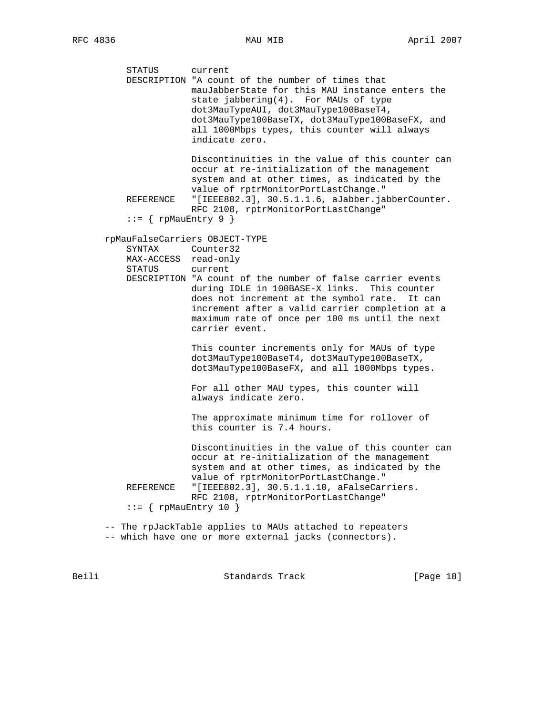STATUS current DESCRIPTION "A count of the number of times that mauJabberState for this MAU instance enters the state jabbering(4). For MAUs of type dot3MauTypeAUI, dot3MauType100BaseT4, dot3MauType100BaseTX, dot3MauType100BaseFX, and all 1000Mbps types, this counter will always indicate zero. Discontinuities in the value of this counter can occur at re-initialization of the management system and at other times, as indicated by the value of rptrMonitorPortLastChange." REFERENCE "[IEEE802.3], 30.5.1.1.6, aJabber.jabberCounter. RFC 2108, rptrMonitorPortLastChange"  $::=$  { rpMauEntry 9 } rpMauFalseCarriers OBJECT-TYPE SYNTAX Counter32 MAX-ACCESS read-only STATUS current DESCRIPTION "A count of the number of false carrier events during IDLE in 100BASE-X links. This counter does not increment at the symbol rate. It can increment after a valid carrier completion at a maximum rate of once per 100 ms until the next carrier event. This counter increments only for MAUs of type dot3MauType100BaseT4, dot3MauType100BaseTX, dot3MauType100BaseFX, and all 1000Mbps types. For all other MAU types, this counter will always indicate zero. The approximate minimum time for rollover of this counter is 7.4 hours. Discontinuities in the value of this counter can occur at re-initialization of the management system and at other times, as indicated by the value of rptrMonitorPortLastChange." REFERENCE "[IEEE802.3], 30.5.1.1.10, aFalseCarriers. RFC 2108, rptrMonitorPortLastChange"  $::=$  { rpMauEntry 10 } -- The rpJackTable applies to MAUs attached to repeaters

-- which have one or more external jacks (connectors).

Beili Standards Track [Page 18]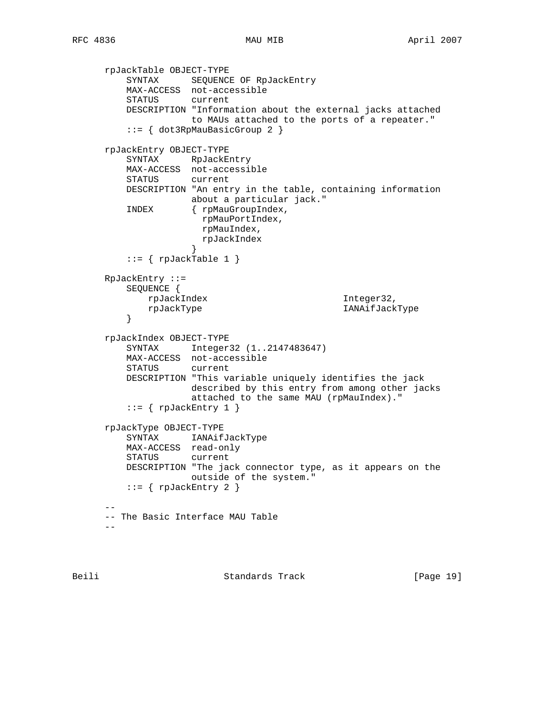```
 rpJackTable OBJECT-TYPE
 SYNTAX SEQUENCE OF RpJackEntry
 MAX-ACCESS not-accessible
         STATUS current
         DESCRIPTION "Information about the external jacks attached
                    to MAUs attached to the ports of a repeater."
          ::= { dot3RpMauBasicGroup 2 }
      rpJackEntry OBJECT-TYPE
         SYNTAX RpJackEntry
         MAX-ACCESS not-accessible
         STATUS current
         DESCRIPTION "An entry in the table, containing information
                    about a particular jack."
         INDEX { rpMauGroupIndex,
                      rpMauPortIndex,
                      rpMauIndex,
                      rpJackIndex
 }
         ::= { rpJackTable 1 }
      RpJackEntry ::=
         SEQUENCE {
             rpJackIndex Integer32,
          rpJackType IANAifJackType
 }
      rpJackIndex OBJECT-TYPE
         SYNTAX Integer32 (1..2147483647)
         MAX-ACCESS not-accessible
         STATUS current
         DESCRIPTION "This variable uniquely identifies the jack
                    described by this entry from among other jacks
                    attached to the same MAU (rpMauIndex)."
         ::= \{ rpJackEntry 1 \} rpJackType OBJECT-TYPE
         SYNTAX IANAifJackType
         MAX-ACCESS read-only
         STATUS current
         DESCRIPTION "The jack connector type, as it appears on the
                    outside of the system."
        ::= { rpJackEntry 2 }
 --
      -- The Basic Interface MAU Table
     -
```
Beili Standards Track [Page 19]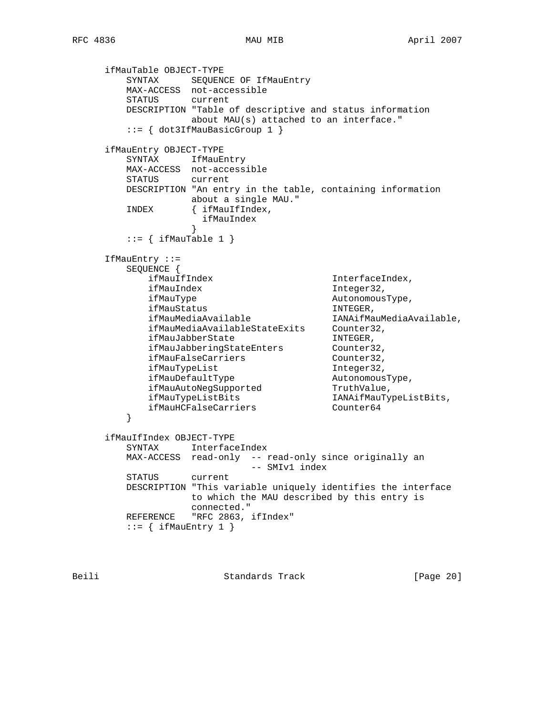```
 ifMauTable OBJECT-TYPE
 SYNTAX SEQUENCE OF IfMauEntry
 MAX-ACCESS not-accessible
        STATUS current
        DESCRIPTION "Table of descriptive and status information
                 about MAU(s) attached to an interface."
        ::= { dot3IfMauBasicGroup 1 }
     ifMauEntry OBJECT-TYPE
       SYNTAX IfMauEntry
        MAX-ACCESS not-accessible
        STATUS current
        DESCRIPTION "An entry in the table, containing information
                about a single MAU."
        INDEX { ifMauIfIndex,
                  ifMauIndex
 }
       ::= { ifMauTable 1 }
     IfMauEntry ::=
        SEQUENCE {
          ifMauIfIndex 1nterfaceIndex,
          ifMauIndex 1nteger32,
           ifMauType AutonomousType,
ifMauStatus INTEGER,
 ifMauMediaAvailable IANAifMauMediaAvailable,
 ifMauMediaAvailableStateExits Counter32,
ifMauJabberState INTEGER,
ifMauJabberingStateEnters Counter32,
ifMauFalseCarriers Counter32,
ifMauTypeList integer32,
ifMauDefaultType and autonomousType,
 ifMauAutoNegSupported TruthValue,
 ifMauTypeListBits IANAifMauTypeListBits,
ifMauHCFalseCarriers counter64
 }
     ifMauIfIndex OBJECT-TYPE
        SYNTAX InterfaceIndex
        MAX-ACCESS read-only -- read-only since originally an
                        -- SMIv1 index
        STATUS current
        DESCRIPTION "This variable uniquely identifies the interface
                to which the MAU described by this entry is
                connected."
       REFERENCE "RFC 2863, ifIndex"
       ::= { ifMauEntry 1 }
```
Beili Standards Track [Page 20]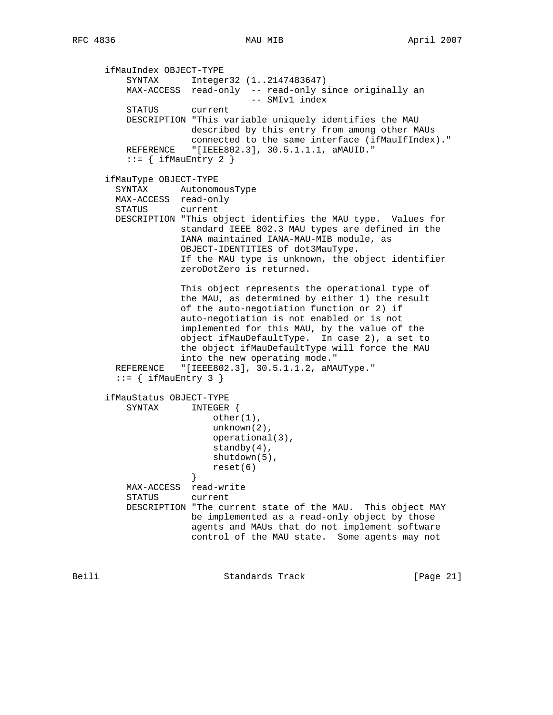ifMauIndex OBJECT-TYPE SYNTAX Integer32 (1..2147483647) MAX-ACCESS read-only -- read-only since originally an -- SMIv1 index STATUS current DESCRIPTION "This variable uniquely identifies the MAU described by this entry from among other MAUs connected to the same interface (ifMauIfIndex)." REFERENCE "[IEEE802.3], 30.5.1.1.1, aMAUID."  $::=$  { ifMauEntry 2 } ifMauType OBJECT-TYPE SYNTAX AutonomousType MAX-ACCESS read-only STATUS current DESCRIPTION "This object identifies the MAU type. Values for standard IEEE 802.3 MAU types are defined in the IANA maintained IANA-MAU-MIB module, as OBJECT-IDENTITIES of dot3MauType. If the MAU type is unknown, the object identifier zeroDotZero is returned. This object represents the operational type of the MAU, as determined by either 1) the result of the auto-negotiation function or 2) if auto-negotiation is not enabled or is not implemented for this MAU, by the value of the object ifMauDefaultType. In case 2), a set to the object ifMauDefaultType will force the MAU into the new operating mode." REFERENCE "[IEEE802.3], 30.5.1.1.2, aMAUType."  $::=$  { ifMauEntry 3 } ifMauStatus OBJECT-TYPE SYNTAX INTEGER { other(1), unknown(2), operational(3), standby(4), shutdown(5), reset(6)<br>} } MAX-ACCESS read-write STATUS current DESCRIPTION "The current state of the MAU. This object MAY be implemented as a read-only object by those agents and MAUs that do not implement software control of the MAU state. Some agents may not

Beili Standards Track [Page 21]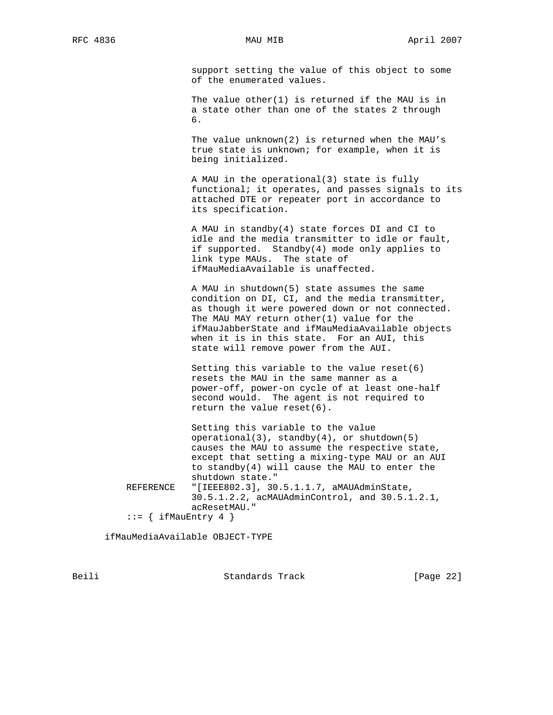support setting the value of this object to some of the enumerated values.

 The value other(1) is returned if the MAU is in a state other than one of the states 2 through  $\overline{6}$ .

> The value unknown(2) is returned when the MAU's true state is unknown; for example, when it is being initialized.

 A MAU in the operational(3) state is fully functional; it operates, and passes signals to its attached DTE or repeater port in accordance to its specification.

 A MAU in standby(4) state forces DI and CI to idle and the media transmitter to idle or fault, if supported. Standby(4) mode only applies to link type MAUs. The state of ifMauMediaAvailable is unaffected.

 A MAU in shutdown(5) state assumes the same condition on DI, CI, and the media transmitter, as though it were powered down or not connected. The MAU MAY return other(1) value for the ifMauJabberState and ifMauMediaAvailable objects when it is in this state. For an AUI, this state will remove power from the AUI.

 Setting this variable to the value reset(6) resets the MAU in the same manner as a power-off, power-on cycle of at least one-half second would. The agent is not required to return the value reset(6).

 Setting this variable to the value operational(3), standby(4), or shutdown(5) causes the MAU to assume the respective state, except that setting a mixing-type MAU or an AUI to standby(4) will cause the MAU to enter the shutdown state."<br>REFERENCE "[IEEE802.3], 30 "[IEEE802.3], 30.5.1.1.7, aMAUAdminState, 30.5.1.2.2, acMAUAdminControl, and 30.5.1.2.1, acResetMAU."  $::=$  { ifMauEntry 4 }

ifMauMediaAvailable OBJECT-TYPE

Beili Standards Track [Page 22]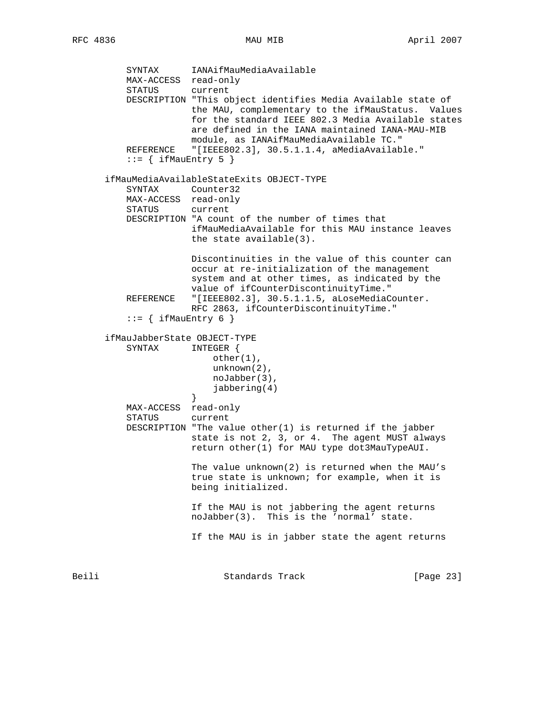SYNTAX IANAifMauMediaAvailable MAX-ACCESS read-only STATUS current DESCRIPTION "This object identifies Media Available state of the MAU, complementary to the ifMauStatus. Values for the standard IEEE 802.3 Media Available states are defined in the IANA maintained IANA-MAU-MIB module, as IANAifMauMediaAvailable TC." REFERENCE "[IEEE802.3], 30.5.1.1.4, aMediaAvailable."  $::=$  { ifMauEntry 5 } ifMauMediaAvailableStateExits OBJECT-TYPE SYNTAX Counter32 MAX-ACCESS read-only STATUS current DESCRIPTION "A count of the number of times that ifMauMediaAvailable for this MAU instance leaves the state available(3). Discontinuities in the value of this counter can occur at re-initialization of the management system and at other times, as indicated by the value of ifCounterDiscontinuityTime." REFERENCE "[IEEE802.3], 30.5.1.1.5, aLoseMediaCounter. RFC 2863, ifCounterDiscontinuityTime."  $::=$  { ifMauEntry 6 } ifMauJabberState OBJECT-TYPE SYNTAX INTEGER { other(1), unknown(2), noJabber(3), jabbering(4) } MAX-ACCESS read-only STATUS current DESCRIPTION "The value other(1) is returned if the jabber state is not 2, 3, or 4. The agent MUST always return other(1) for MAU type dot3MauTypeAUI. The value unknown(2) is returned when the MAU's true state is unknown; for example, when it is being initialized. If the MAU is not jabbering the agent returns noJabber(3). This is the 'normal' state. If the MAU is in jabber state the agent returns

Beili Standards Track [Page 23]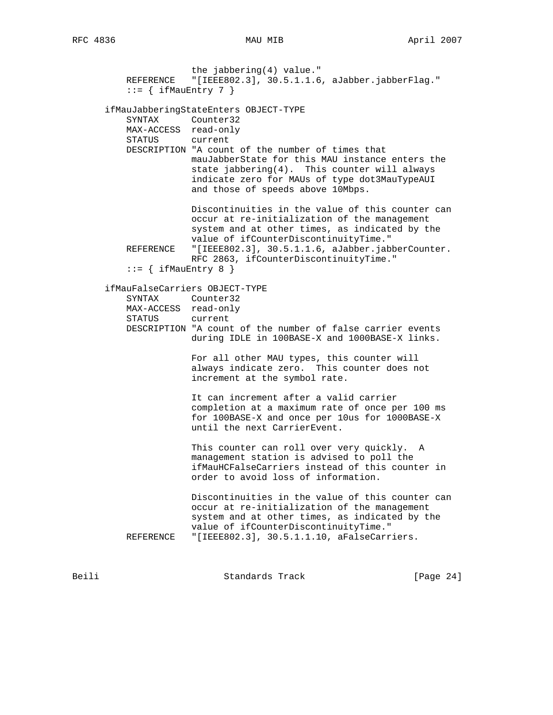the jabbering(4) value." REFERENCE "[IEEE802.3], 30.5.1.1.6, aJabber.jabberFlag."  $::=$  { ifMauEntry 7 } ifMauJabberingStateEnters OBJECT-TYPE SYNTAX Counter32 MAX-ACCESS read-only STATUS current DESCRIPTION "A count of the number of times that mauJabberState for this MAU instance enters the state jabbering(4). This counter will always indicate zero for MAUs of type dot3MauTypeAUI and those of speeds above 10Mbps. Discontinuities in the value of this counter can occur at re-initialization of the management system and at other times, as indicated by the value of ifCounterDiscontinuityTime."<br>REFERENCE "[IEEE802.3], 30.5.1.1.6, aJabber.jab "[IEEE802.3], 30.5.1.1.6, aJabber.jabberCounter. RFC 2863, ifCounterDiscontinuityTime."  $::=$  { ifMauEntry 8 } ifMauFalseCarriers OBJECT-TYPE SYNTAX Counter32 MAX-ACCESS read-only STATUS current DESCRIPTION "A count of the number of false carrier events during IDLE in 100BASE-X and 1000BASE-X links. For all other MAU types, this counter will always indicate zero. This counter does not increment at the symbol rate. It can increment after a valid carrier completion at a maximum rate of once per 100 ms for 100BASE-X and once per 10us for 1000BASE-X until the next CarrierEvent. This counter can roll over very quickly. A management station is advised to poll the ifMauHCFalseCarriers instead of this counter in order to avoid loss of information. Discontinuities in the value of this counter can occur at re-initialization of the management system and at other times, as indicated by the value of ifCounterDiscontinuityTime." REFERENCE "[IEEE802.3], 30.5.1.1.10, aFalseCarriers.

Beili Standards Track [Page 24]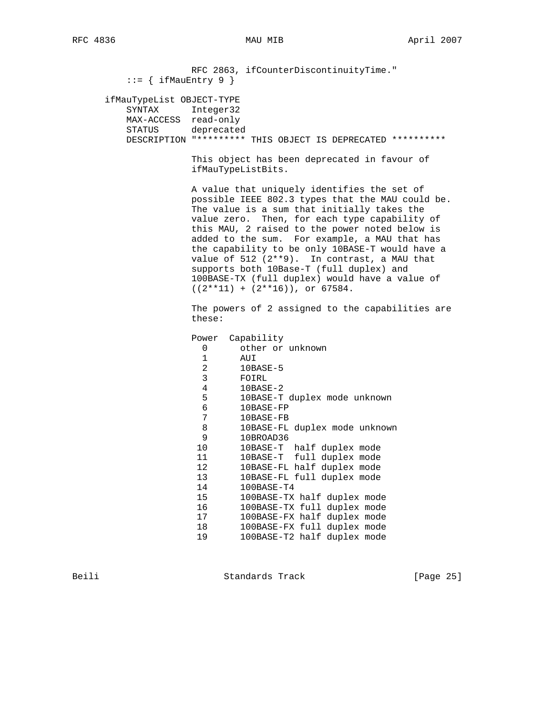RFC 2863, ifCounterDiscontinuityTime."  $::=$  { ifMauEntry 9 } ifMauTypeList OBJECT-TYPE SYNTAX Integer32 MAX-ACCESS read-only STATUS deprecated DESCRIPTION "\*\*\*\*\*\*\*\*\* THIS OBJECT IS DEPRECATED \*\*\*\*\*\*\*\*\*\* This object has been deprecated in favour of ifMauTypeListBits. A value that uniquely identifies the set of possible IEEE 802.3 types that the MAU could be. The value is a sum that initially takes the value zero. Then, for each type capability of this MAU, 2 raised to the power noted below is added to the sum. For example, a MAU that has the capability to be only 10BASE-T would have a value of 512 (2\*\*9). In contrast, a MAU that supports both 10Base-T (full duplex) and 100BASE-TX (full duplex) would have a value of  $((2**11) + (2**16))$ , or 67584. The powers of 2 assigned to the capabilities are these: Power Capability 0 other or unknown  $\begin{array}{cc} 1 & \quad & \textrm{AUI} \\ 2 & \quad & 10 \textrm{Bi} \end{array}$  2 10BASE-5 3 FOIRL 4 10BASE-2 5 10BASE-T duplex mode unknown 6 10BASE-FP 7 10BASE-FB 8 10BASE-FL duplex mode unknown 9 10BROAD36 10 10BASE-T half duplex mode 11 10BASE-T full duplex mode 11 10BASE-T full duplex mode<br>12 10BASE-FL half duplex mode<br>13 10BASE-FL full duplex mode<br>14 100BASE-T4 13 10BASE-FL full duplex mode 14 100BASE-T4 15 100BASE-TX half duplex mode 16 100BASE-TX full duplex mode 17 100BASE-FX half duplex mode 18 100BASE-FX full duplex mode 19 100BASE-T2 half duplex mode Beili Standards Track [Page 25]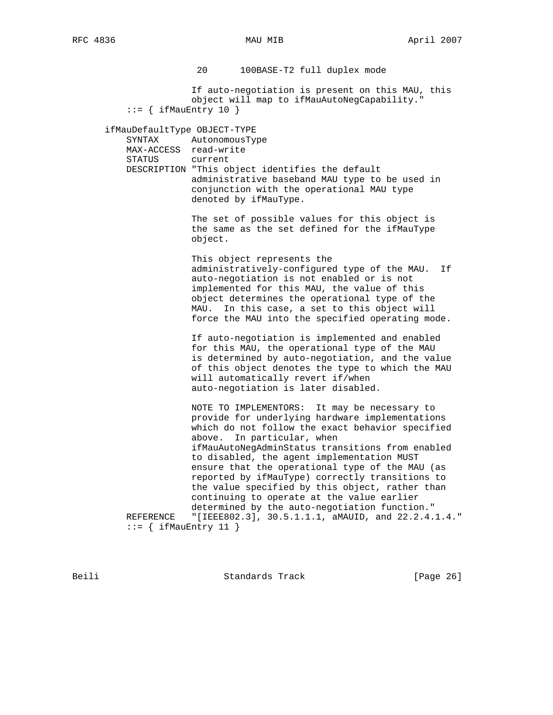20 100BASE-T2 full duplex mode If auto-negotiation is present on this MAU, this object will map to ifMauAutoNegCapability."  $::=$  { ifMauEntry 10 } ifMauDefaultType OBJECT-TYPE SYNTAX AutonomousType MAX-ACCESS read-write STATUS current DESCRIPTION "This object identifies the default administrative baseband MAU type to be used in conjunction with the operational MAU type denoted by ifMauType. The set of possible values for this object is the same as the set defined for the ifMauType object. This object represents the administratively-configured type of the MAU. If auto-negotiation is not enabled or is not implemented for this MAU, the value of this object determines the operational type of the MAU. In this case, a set to this object will force the MAU into the specified operating mode. If auto-negotiation is implemented and enabled for this MAU, the operational type of the MAU is determined by auto-negotiation, and the value of this object denotes the type to which the MAU will automatically revert if/when auto-negotiation is later disabled. NOTE TO IMPLEMENTORS: It may be necessary to provide for underlying hardware implementations which do not follow the exact behavior specified above. In particular, when ifMauAutoNegAdminStatus transitions from enabled to disabled, the agent implementation MUST ensure that the operational type of the MAU (as reported by ifMauType) correctly transitions to the value specified by this object, rather than continuing to operate at the value earlier determined by the auto-negotiation function." REFERENCE "[IEEE802.3], 30.5.1.1.1, aMAUID, and 22.2.4.1.4."  $::=$  { ifMauEntry 11 }

Beili Standards Track [Page 26]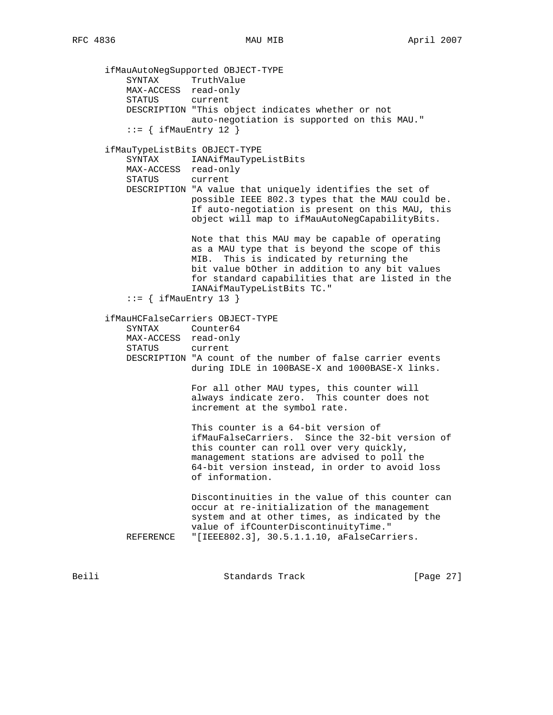ifMauAutoNegSupported OBJECT-TYPE SYNTAX TruthValue MAX-ACCESS read-only STATUS current DESCRIPTION "This object indicates whether or not auto-negotiation is supported on this MAU."  $::=$  { ifMauEntry 12 } ifMauTypeListBits OBJECT-TYPE SYNTAX IANAifMauTypeListBits MAX-ACCESS read-only STATUS current DESCRIPTION "A value that uniquely identifies the set of possible IEEE 802.3 types that the MAU could be. If auto-negotiation is present on this MAU, this object will map to ifMauAutoNegCapabilityBits. Note that this MAU may be capable of operating as a MAU type that is beyond the scope of this MIB. This is indicated by returning the bit value bOther in addition to any bit values for standard capabilities that are listed in the IANAifMauTypeListBits TC."  $::=$  { ifMauEntry 13 } ifMauHCFalseCarriers OBJECT-TYPE SYNTAX Counter64 MAX-ACCESS read-only STATUS current DESCRIPTION "A count of the number of false carrier events during IDLE in 100BASE-X and 1000BASE-X links. For all other MAU types, this counter will always indicate zero. This counter does not increment at the symbol rate. This counter is a 64-bit version of ifMauFalseCarriers. Since the 32-bit version of this counter can roll over very quickly, management stations are advised to poll the 64-bit version instead, in order to avoid loss of information. Discontinuities in the value of this counter can occur at re-initialization of the management system and at other times, as indicated by the value of ifCounterDiscontinuityTime." REFERENCE "[IEEE802.3], 30.5.1.1.10, aFalseCarriers.

Beili Standards Track [Page 27]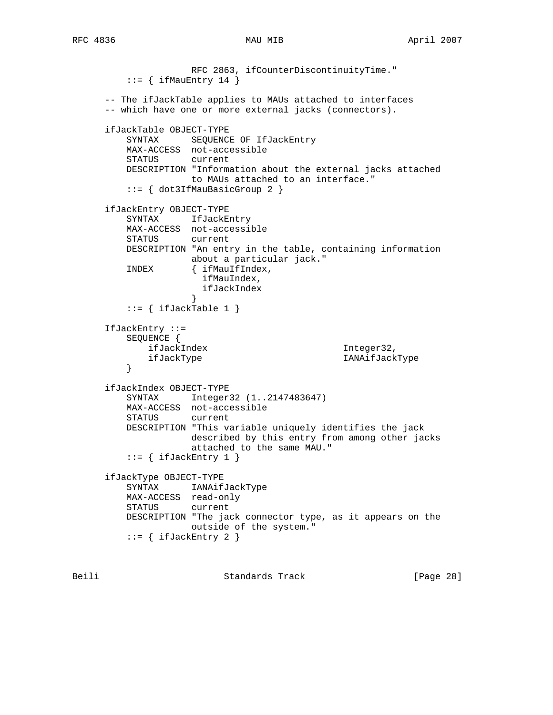RFC 2863, ifCounterDiscontinuityTime."  $::=$  { ifMauEntry 14 } -- The ifJackTable applies to MAUs attached to interfaces -- which have one or more external jacks (connectors). ifJackTable OBJECT-TYPE SYNTAX SEQUENCE OF IfJackEntry MAX-ACCESS not-accessible STATUS current DESCRIPTION "Information about the external jacks attached to MAUs attached to an interface." ::= { dot3IfMauBasicGroup 2 } ifJackEntry OBJECT-TYPE SYNTAX IfJackEntry MAX-ACCESS not-accessible STATUS DESCRIPTION "An entry in the table, containing information about a particular jack." INDEX { ifMauIfIndex, ifMauIndex, ifJackIndex<br>} } ::= { ifJackTable 1 } IfJackEntry ::= SEQUENCE { ifJackIndex Integer32, ifJackType IANAifJackType } ifJackIndex OBJECT-TYPE SYNTAX Integer32 (1..2147483647) MAX-ACCESS not-accessible STATUS current DESCRIPTION "This variable uniquely identifies the jack described by this entry from among other jacks attached to the same MAU."  $::=$  { ifJackEntry 1 } ifJackType OBJECT-TYPE SYNTAX IANAifJackType MAX-ACCESS read-only STATUS current DESCRIPTION "The jack connector type, as it appears on the outside of the system." ::= { ifJackEntry 2 }

Beili Standards Track [Page 28]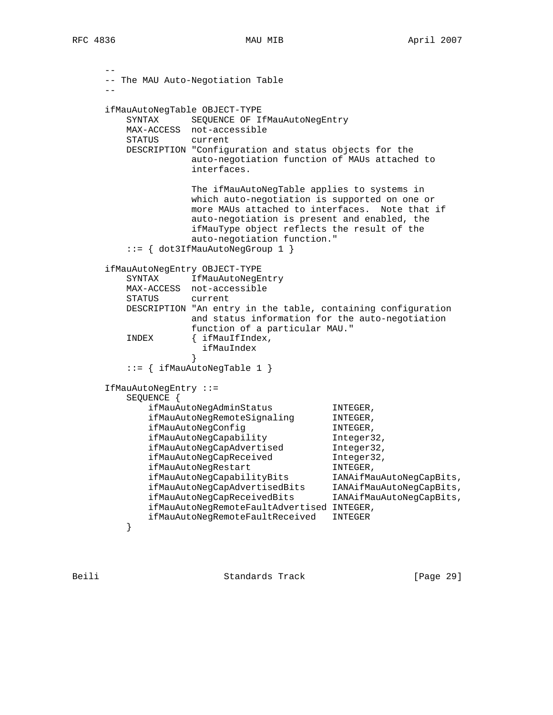```
 --
      -- The MAU Auto-Negotiation Table
 --
     ifMauAutoNegTable OBJECT-TYPE
        SYNTAX SEQUENCE OF IfMauAutoNegEntry
         MAX-ACCESS not-accessible
         STATUS current
         DESCRIPTION "Configuration and status objects for the
                   auto-negotiation function of MAUs attached to
                   interfaces.
                   The ifMauAutoNegTable applies to systems in
                   which auto-negotiation is supported on one or
                   more MAUs attached to interfaces. Note that if
                   auto-negotiation is present and enabled, the
                   ifMauType object reflects the result of the
                   auto-negotiation function."
         ::= { dot3IfMauAutoNegGroup 1 }
      ifMauAutoNegEntry OBJECT-TYPE
        SYNTAX IfMauAutoNegEntry
         MAX-ACCESS not-accessible
         STATUS current
         DESCRIPTION "An entry in the table, containing configuration
                   and status information for the auto-negotiation
                   function of a particular MAU."
         INDEX { ifMauIfIndex,
                    ifMauIndex
 }
         ::= { ifMauAutoNegTable 1 }
      IfMauAutoNegEntry ::=
         SEQUENCE {
 ifMauAutoNegAdminStatus INTEGER,
ifMauAutoNegRemoteSignaling  INTEGER,
ifMauAutoNegConfig INTEGER,
 ifMauAutoNegCapability Integer32,
 ifMauAutoNegCapAdvertised Integer32,
ifMauAutoNegCapReceived 1nteger32,
ifMauAutoNegRestart TNTEGER,
 ifMauAutoNegCapabilityBits IANAifMauAutoNegCapBits,
 ifMauAutoNegCapAdvertisedBits IANAifMauAutoNegCapBits,
 ifMauAutoNegCapReceivedBits IANAifMauAutoNegCapBits,
            ifMauAutoNegRemoteFaultAdvertised INTEGER,
         ifMauAutoNegRemoteFaultReceived INTEGER
 }
```
Beili Standards Track [Page 29]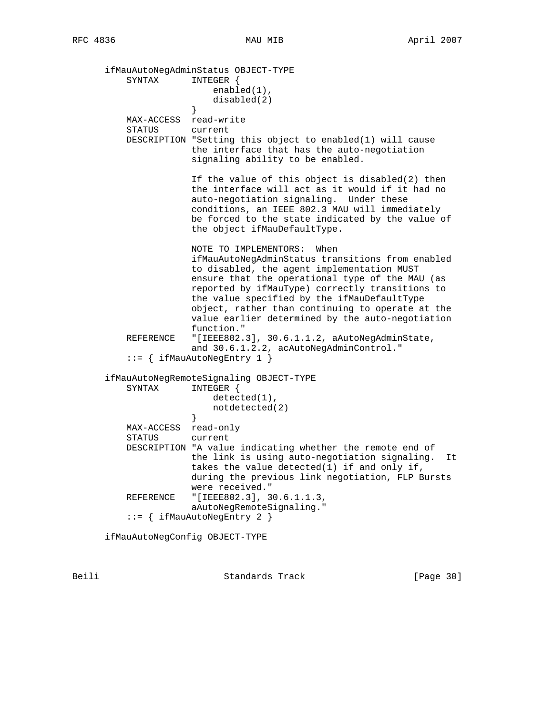ifMauAutoNegAdminStatus OBJECT-TYPE SYNTAX INTEGER { enabled(1), disabled(2) } MAX-ACCESS read-write STATUS current DESCRIPTION "Setting this object to enabled(1) will cause the interface that has the auto-negotiation signaling ability to be enabled. If the value of this object is disabled(2) then the interface will act as it would if it had no auto-negotiation signaling. Under these conditions, an IEEE 802.3 MAU will immediately be forced to the state indicated by the value of the object ifMauDefaultType. NOTE TO IMPLEMENTORS: When ifMauAutoNegAdminStatus transitions from enabled to disabled, the agent implementation MUST ensure that the operational type of the MAU (as reported by ifMauType) correctly transitions to the value specified by the ifMauDefaultType object, rather than continuing to operate at the value earlier determined by the auto-negotiation function." REFERENCE "[IEEE802.3], 30.6.1.1.2, aAutoNegAdminState, and 30.6.1.2.2, acAutoNegAdminControl." ::= { ifMauAutoNegEntry 1 } ifMauAutoNegRemoteSignaling OBJECT-TYPE SYNTAX INTEGER { detected(1), notdetected(2)<br>} } MAX-ACCESS read-only STATUS current DESCRIPTION "A value indicating whether the remote end of the link is using auto-negotiation signaling. It takes the value detected(1) if and only if, during the previous link negotiation, FLP Bursts were received." REFERENCE "[IEEE802.3], 30.6.1.1.3, aAutoNegRemoteSignaling." ::= { ifMauAutoNegEntry 2 }

ifMauAutoNegConfig OBJECT-TYPE

Beili Standards Track [Page 30]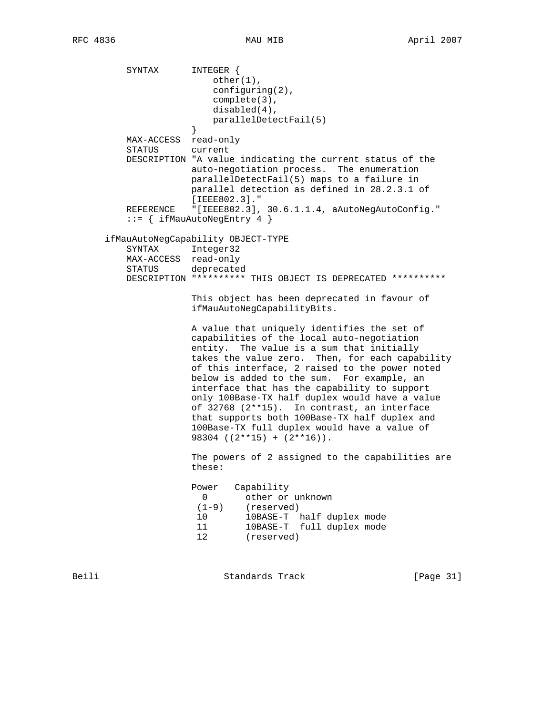SYNTAX INTEGER { other(1), configuring(2), complete(3), disabled(4), parallelDetectFail(5) } MAX-ACCESS read-only STATUS current DESCRIPTION "A value indicating the current status of the auto-negotiation process. The enumeration parallelDetectFail(5) maps to a failure in parallel detection as defined in 28.2.3.1 of [IEEE802.3]." REFERENCE "[IEEE802.3], 30.6.1.1.4, aAutoNegAutoConfig." ::= { ifMauAutoNegEntry 4 } ifMauAutoNegCapability OBJECT-TYPE SYNTAX Integer32 MAX-ACCESS read-only STATUS deprecated DESCRIPTION "\*\*\*\*\*\*\*\*\* THIS OBJECT IS DEPRECATED \*\*\*\*\*\*\*\*\*\* This object has been deprecated in favour of ifMauAutoNegCapabilityBits. A value that uniquely identifies the set of capabilities of the local auto-negotiation entity. The value is a sum that initially takes the value zero. Then, for each capability of this interface, 2 raised to the power noted below is added to the sum. For example, an interface that has the capability to support only 100Base-TX half duplex would have a value of 32768 (2\*\*15). In contrast, an interface that supports both 100Base-TX half duplex and 100Base-TX full duplex would have a value of 98304 ((2\*\*15) + (2\*\*16)). The powers of 2 assigned to the capabilities are these: Power Capability 0 other or unknown (1-9) (reserved) 10 10BASE-T half duplex mode 11 10BASE-T full duplex mode 12 (reserved) Beili Standards Track [Page 31]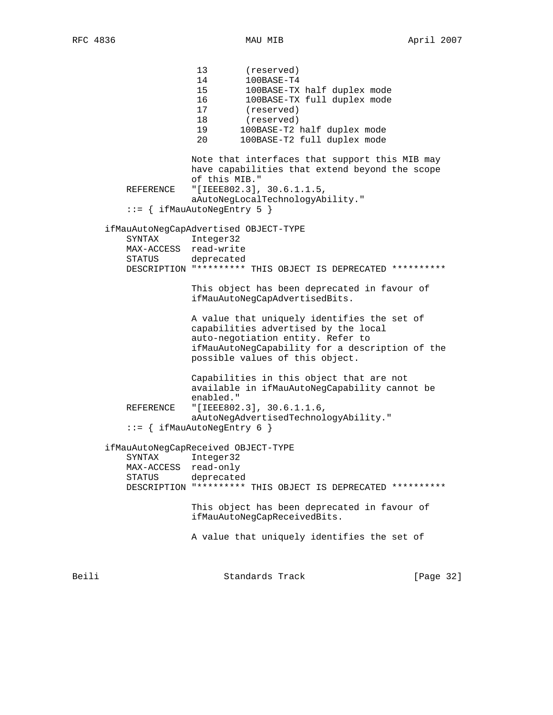13 (reserved) 14 100BASE-T4 15 100BASE-TX half duplex mode 16 100BASE-TX full duplex mode 17 (reserved) 18 (reserved)<br>19 100BASE-T2 19 100BASE-T2 half duplex mode 20 100BASE-T2 full duplex mode Note that interfaces that support this MIB may have capabilities that extend beyond the scope of this MIB." REFERENCE "[IEEE802.3], 30.6.1.1.5, aAutoNegLocalTechnologyAbility." ::= { ifMauAutoNegEntry 5 } ifMauAutoNegCapAdvertised OBJECT-TYPE SYNTAX Integer32 MAX-ACCESS read-write STATUS deprecated DESCRIPTION "\*\*\*\*\*\*\*\*\* THIS OBJECT IS DEPRECATED \*\*\*\*\*\*\*\*\*\* This object has been deprecated in favour of ifMauAutoNegCapAdvertisedBits. A value that uniquely identifies the set of capabilities advertised by the local auto-negotiation entity. Refer to ifMauAutoNegCapability for a description of the possible values of this object. Capabilities in this object that are not available in ifMauAutoNegCapability cannot be enabled." REFERENCE "[IEEE802.3], 30.6.1.1.6, aAutoNegAdvertisedTechnologyAbility." ::= { ifMauAutoNegEntry 6 } ifMauAutoNegCapReceived OBJECT-TYPE SYNTAX Integer32 MAX-ACCESS read-only STATUS deprecated DESCRIPTION "\*\*\*\*\*\*\*\*\* THIS OBJECT IS DEPRECATED \*\*\*\*\*\*\*\*\*\* This object has been deprecated in favour of ifMauAutoNegCapReceivedBits. A value that uniquely identifies the set of

Beili Standards Track [Page 32]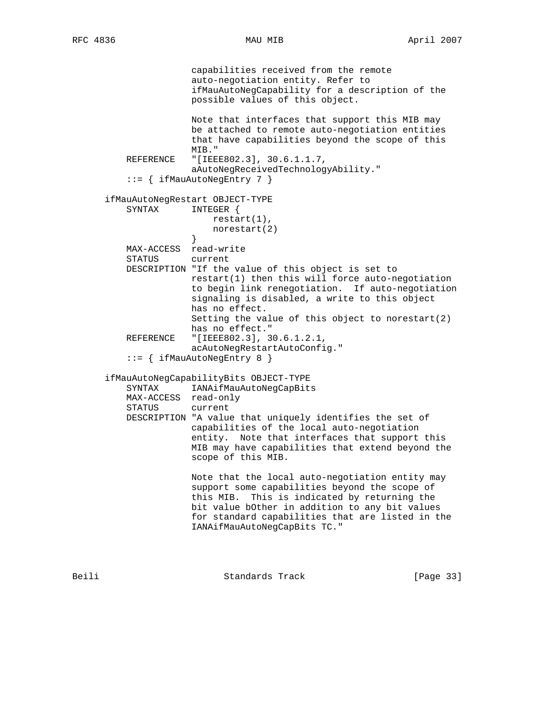capabilities received from the remote auto-negotiation entity. Refer to ifMauAutoNegCapability for a description of the possible values of this object. Note that interfaces that support this MIB may be attached to remote auto-negotiation entities that have capabilities beyond the scope of this MIB." REFERENCE "[IEEE802.3], 30.6.1.1.7, aAutoNegReceivedTechnologyAbility." ::= { ifMauAutoNegEntry 7 } ifMauAutoNegRestart OBJECT-TYPE SYNTAX INTEGER { restart(1), norestart(2)<br>} } MAX-ACCESS read-write STATUS current DESCRIPTION "If the value of this object is set to restart(1) then this will force auto-negotiation to begin link renegotiation. If auto-negotiation signaling is disabled, a write to this object has no effect. Setting the value of this object to norestart(2) has no effect." REFERENCE "[IEEE802.3], 30.6.1.2.1, acAutoNegRestartAutoConfig." ::= { ifMauAutoNegEntry 8 } ifMauAutoNegCapabilityBits OBJECT-TYPE SYNTAX IANAifMauAutoNegCapBits MAX-ACCESS read-only STATUS current DESCRIPTION "A value that uniquely identifies the set of capabilities of the local auto-negotiation entity. Note that interfaces that support this MIB may have capabilities that extend beyond the scope of this MIB. Note that the local auto-negotiation entity may support some capabilities beyond the scope of this MIB. This is indicated by returning the bit value bOther in addition to any bit values for standard capabilities that are listed in the IANAifMauAutoNegCapBits TC."

Beili Standards Track [Page 33]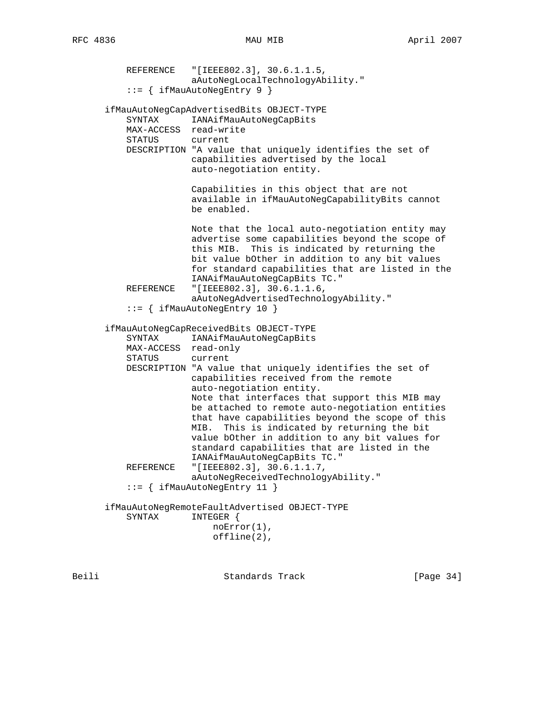REFERENCE "[IEEE802.3], 30.6.1.1.5, aAutoNegLocalTechnologyAbility." ::= { ifMauAutoNegEntry 9 } ifMauAutoNegCapAdvertisedBits OBJECT-TYPE SYNTAX IANAifMauAutoNegCapBits MAX-ACCESS read-write STATUS current DESCRIPTION "A value that uniquely identifies the set of capabilities advertised by the local auto-negotiation entity. Capabilities in this object that are not available in ifMauAutoNegCapabilityBits cannot be enabled. Note that the local auto-negotiation entity may advertise some capabilities beyond the scope of this MIB. This is indicated by returning the bit value bOther in addition to any bit values for standard capabilities that are listed in the IANAifMauAutoNegCapBits TC." REFERENCE "[IEEE802.3], 30.6.1.1.6, aAutoNegAdvertisedTechnologyAbility." ::= { ifMauAutoNegEntry 10 } ifMauAutoNegCapReceivedBits OBJECT-TYPE SYNTAX IANAifMauAutoNegCapBits MAX-ACCESS read-only STATUS current DESCRIPTION "A value that uniquely identifies the set of capabilities received from the remote auto-negotiation entity. Note that interfaces that support this MIB may be attached to remote auto-negotiation entities that have capabilities beyond the scope of this MIB. This is indicated by returning the bit value bOther in addition to any bit values for standard capabilities that are listed in the IANAifMauAutoNegCapBits TC." REFERENCE "[IEEE802.3], 30.6.1.1.7, aAutoNegReceivedTechnologyAbility." ::= { ifMauAutoNegEntry 11 } ifMauAutoNegRemoteFaultAdvertised OBJECT-TYPE SYNTAX INTEGER { noError(1), offline(2),

Beili Standards Track [Page 34]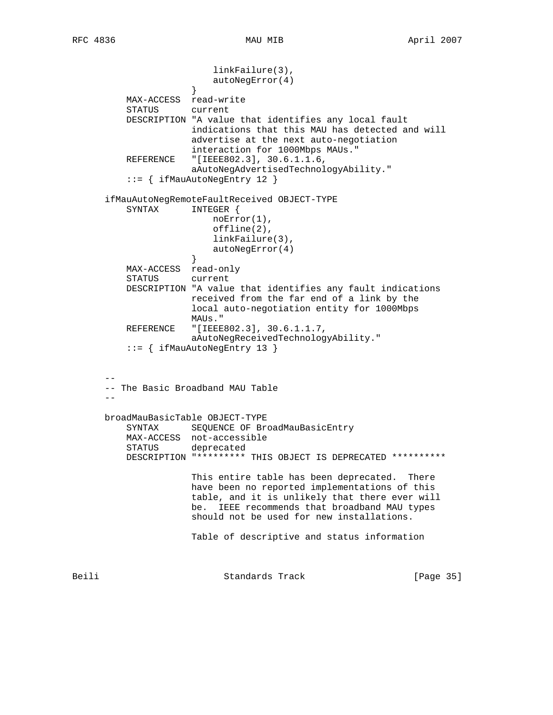linkFailure(3), autoNegError(4)<br>} } MAX-ACCESS read-write STATUS current DESCRIPTION "A value that identifies any local fault indications that this MAU has detected and will advertise at the next auto-negotiation interaction for 1000Mbps MAUs." REFERENCE "[IEEE802.3], 30.6.1.1.6, aAutoNegAdvertisedTechnologyAbility." ::= { ifMauAutoNegEntry 12 } ifMauAutoNegRemoteFaultReceived OBJECT-TYPE SYNTAX INTEGER { noError(1), offline(2), linkFailure(3), autoNegError(4)<br>} } MAX-ACCESS read-only STATUS current DESCRIPTION "A value that identifies any fault indications received from the far end of a link by the local auto-negotiation entity for 1000Mbps MAUs." REFERENCE "[IEEE802.3], 30.6.1.1.7, aAutoNegReceivedTechnologyAbility." ::= { ifMauAutoNegEntry 13 } -- -- The Basic Broadband MAU Table - broadMauBasicTable OBJECT-TYPE SYNTAX SEQUENCE OF BroadMauBasicEntry MAX-ACCESS not-accessible STATUS deprecated DESCRIPTION "\*\*\*\*\*\*\*\*\* THIS OBJECT IS DEPRECATED \*\*\*\*\*\*\*\*\*\* This entire table has been deprecated. There have been no reported implementations of this table, and it is unlikely that there ever will be. IEEE recommends that broadband MAU types should not be used for new installations. Table of descriptive and status information Beili Standards Track [Page 35]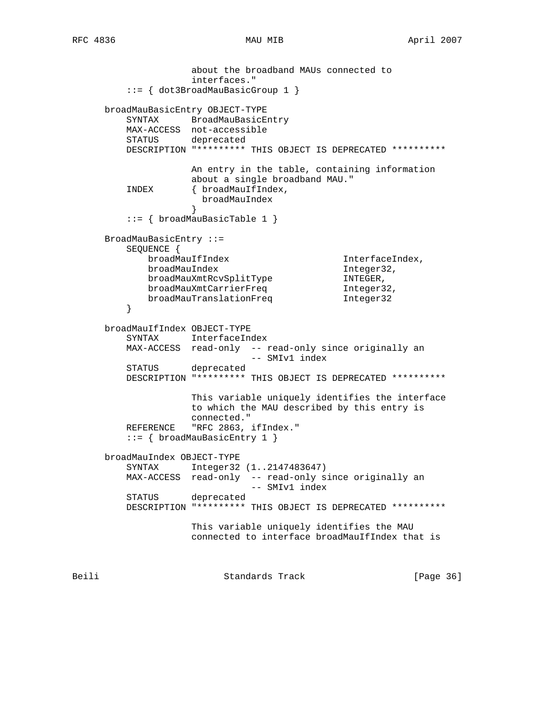```
 about the broadband MAUs connected to
                    interfaces."
          ::= { dot3BroadMauBasicGroup 1 }
      broadMauBasicEntry OBJECT-TYPE
         SYNTAX BroadMauBasicEntry
         MAX-ACCESS not-accessible
         STATUS deprecated
         DESCRIPTION "********* THIS OBJECT IS DEPRECATED **********
                    An entry in the table, containing information
                    about a single broadband MAU."
         INDEX { broadMauIfIndex,
                    broadMauIndex
 }
          ::= { broadMauBasicTable 1 }
      BroadMauBasicEntry ::=
         SEQUENCE {
           broadMauIfIndex InterfaceIndex,
broadMauIndex Integer32,
broadMauXmtRcvSplitType INTEGER,
broadMauXmtCarrierFreq filteger32,
 broadMauTranslationFreq Integer32
 }
      broadMauIfIndex OBJECT-TYPE
         SYNTAX InterfaceIndex
         MAX-ACCESS read-only -- read-only since originally an
        -- SMIv1 index<br>STATUS deprecated
                 deprecated
         DESCRIPTION "********* THIS OBJECT IS DEPRECATED **********
                    This variable uniquely identifies the interface
                    to which the MAU described by this entry is
                   connected."
        REFERENCE "RFC 2863, ifIndex."
         ::= { broadMauBasicEntry 1 }
      broadMauIndex OBJECT-TYPE
         SYNTAX Integer32 (1..2147483647)
         MAX-ACCESS read-only -- read-only since originally an
                             -- SMIv1 index
         STATUS deprecated
         DESCRIPTION "********* THIS OBJECT IS DEPRECATED **********
                    This variable uniquely identifies the MAU
                    connected to interface broadMauIfIndex that is
Beili Standards Track [Page 36]
```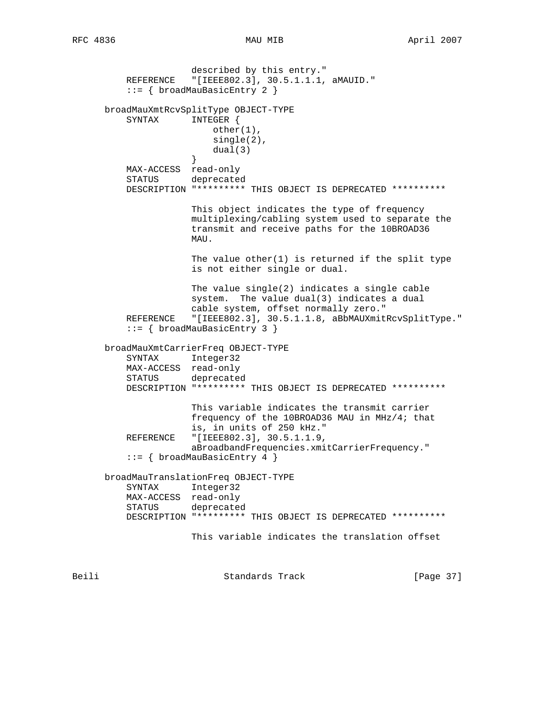described by this entry." REFERENCE "[IEEE802.3], 30.5.1.1.1, aMAUID." ::= { broadMauBasicEntry 2 } broadMauXmtRcvSplitType OBJECT-TYPE SYNTAX INTEGER { other(1), single(2), dual(3) } MAX-ACCESS read-only STATUS deprecated DESCRIPTION "\*\*\*\*\*\*\*\*\* THIS OBJECT IS DEPRECATED \*\*\*\*\*\*\*\*\*\* This object indicates the type of frequency multiplexing/cabling system used to separate the transmit and receive paths for the 10BROAD36 MAU. The value other $(1)$  is returned if the split type is not either single or dual. The value single(2) indicates a single cable system. The value dual(3) indicates a dual cable system, offset normally zero." REFERENCE "[IEEE802.3], 30.5.1.1.8, aBbMAUXmitRcvSplitType." ::= { broadMauBasicEntry 3 } broadMauXmtCarrierFreq OBJECT-TYPE SYNTAX Integer32 MAX-ACCESS read-only STATUS deprecated DESCRIPTION "\*\*\*\*\*\*\*\*\* THIS OBJECT IS DEPRECATED \*\*\*\*\*\*\*\*\*\* This variable indicates the transmit carrier frequency of the 10BROAD36 MAU in MHz/4; that is, in units of 250 kHz." REFERENCE "[IEEE802.3], 30.5.1.1.9, aBroadbandFrequencies.xmitCarrierFrequency." ::= { broadMauBasicEntry 4 } broadMauTranslationFreq OBJECT-TYPE SYNTAX Integer32 MAX-ACCESS read-only STATUS deprecated DESCRIPTION "\*\*\*\*\*\*\*\*\* THIS OBJECT IS DEPRECATED \*\*\*\*\*\*\*\*\*\* This variable indicates the translation offset

Beili Standards Track [Page 37]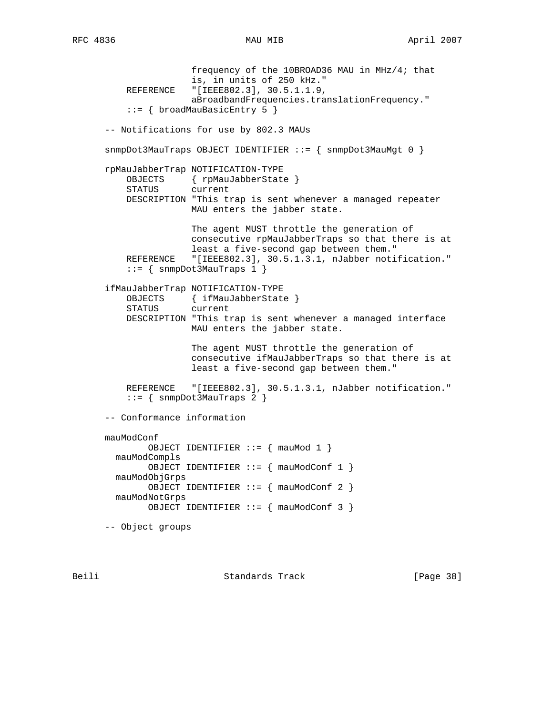frequency of the 10BROAD36 MAU in MHz/4; that is, in units of 250 kHz." REFERENCE "[IEEE802.3], 30.5.1.1.9, aBroadbandFrequencies.translationFrequency." ::= { broadMauBasicEntry 5 } -- Notifications for use by 802.3 MAUs  $s n m p Dot3MauTraps$  OBJECT IDENTIFIER ::=  $\{$  snmpDot3MauMgt 0  $\}$  rpMauJabberTrap NOTIFICATION-TYPE OBJECTS { rpMauJabberState } STATUS current DESCRIPTION "This trap is sent whenever a managed repeater MAU enters the jabber state. The agent MUST throttle the generation of consecutive rpMauJabberTraps so that there is at least a five-second gap between them." REFERENCE "[IEEE802.3], 30.5.1.3.1, nJabber notification." ::= { snmpDot3MauTraps 1 } ifMauJabberTrap NOTIFICATION-TYPE OBJECTS { ifMauJabberState } STATUS current DESCRIPTION "This trap is sent whenever a managed interface MAU enters the jabber state. The agent MUST throttle the generation of consecutive ifMauJabberTraps so that there is at least a five-second gap between them." REFERENCE "[IEEE802.3], 30.5.1.3.1, nJabber notification."  $::=$  { snmpDot3MauTraps 2 } -- Conformance information mauModConf OBJECT IDENTIFIER ::= { mauMod 1 } mauModCompls OBJECT IDENTIFIER ::= { mauModConf 1 } mauModObjGrps OBJECT IDENTIFIER ::= { mauModConf 2 } mauModNotGrps OBJECT IDENTIFIER ::= { mauModConf 3 } -- Object groups

Beili Standards Track [Page 38]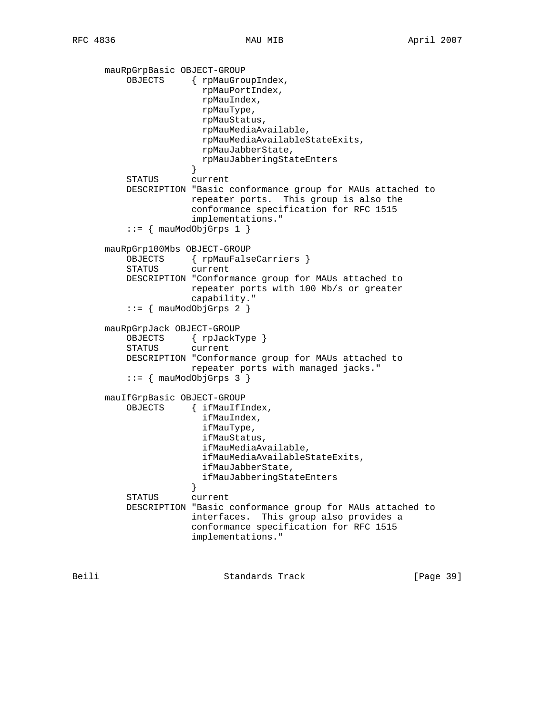```
 mauRpGrpBasic OBJECT-GROUP
          OBJECTS { rpMauGroupIndex,
                        rpMauPortIndex,
                        rpMauIndex,
                        rpMauType,
                        rpMauStatus,
                        rpMauMediaAvailable,
                        rpMauMediaAvailableStateExits,
                        rpMauJabberState,
                        rpMauJabberingStateEnters
 }
          STATUS current
          DESCRIPTION "Basic conformance group for MAUs attached to
                      repeater ports. This group is also the
                      conformance specification for RFC 1515
                      implementations."
         ::= { mauModObjGrps 1 { } mauRpGrp100Mbs OBJECT-GROUP
          OBJECTS { rpMauFalseCarriers }
          STATUS current
          DESCRIPTION "Conformance group for MAUs attached to
                      repeater ports with 100 Mb/s or greater
                      capability."
          ::= { mauModObjGrps 2 }
      mauRpGrpJack OBJECT-GROUP
          OBJECTS { rpJackType }
          STATUS current
          DESCRIPTION "Conformance group for MAUs attached to
                      repeater ports with managed jacks."
          ::= \{ mauModObjGrps 3 \} mauIfGrpBasic OBJECT-GROUP
          OBJECTS { ifMauIfIndex,
                        ifMauIndex,
                        ifMauType,
                        ifMauStatus,
                        ifMauMediaAvailable,
                        ifMauMediaAvailableStateExits,
                        ifMauJabberState,
                        ifMauJabberingStateEnters
 }
          STATUS current
          DESCRIPTION "Basic conformance group for MAUs attached to
                      interfaces. This group also provides a
                      conformance specification for RFC 1515
                      implementations."
```
Beili Standards Track [Page 39]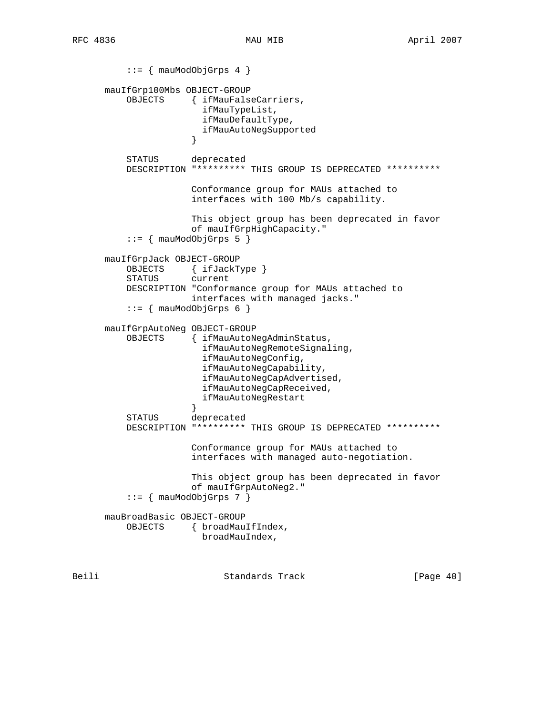::= { mauModObjGrps 4 } mauIfGrp100Mbs OBJECT-GROUP OBJECTS { ifMauFalseCarriers, ifMauTypeList, ifMauDefaultType, ifMauAutoNegSupported } STATUS deprecated DESCRIPTION "\*\*\*\*\*\*\*\*\* THIS GROUP IS DEPRECATED \*\*\*\*\*\*\*\*\*\* Conformance group for MAUs attached to interfaces with 100 Mb/s capability. This object group has been deprecated in favor of mauIfGrpHighCapacity."  $::=$  { mauModObjGrps 5 } mauIfGrpJack OBJECT-GROUP OBJECTS { ifJackType } STATUS current DESCRIPTION "Conformance group for MAUs attached to interfaces with managed jacks."  $::=$  { mauModObjGrps 6 } mauIfGrpAutoNeg OBJECT-GROUP OBJECTS { ifMauAutoNegAdminStatus, ifMauAutoNegRemoteSignaling, ifMauAutoNegConfig, ifMauAutoNegCapability, ifMauAutoNegCapAdvertised, ifMauAutoNegCapReceived, ifMauAutoNegRestart } STATUS deprecated DESCRIPTION "\*\*\*\*\*\*\*\*\* THIS GROUP IS DEPRECATED \*\*\*\*\*\*\*\*\*\* Conformance group for MAUs attached to interfaces with managed auto-negotiation. This object group has been deprecated in favor of mauIfGrpAutoNeg2."  $::=$  { mauModObjGrps 7 } mauBroadBasic OBJECT-GROUP OBJECTS { broadMauIfIndex, broadMauIndex,

Beili Standards Track [Page 40]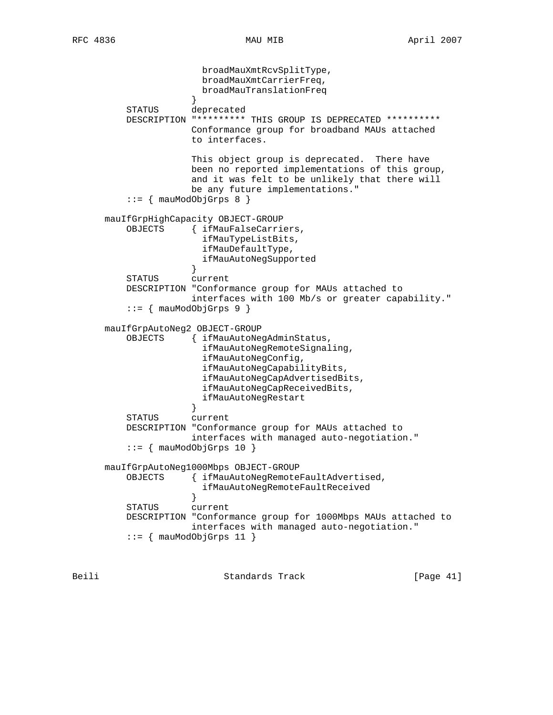broadMauXmtRcvSplitType, broadMauXmtCarrierFreq, broadMauTranslationFreq } STATUS deprecated DESCRIPTION "\*\*\*\*\*\*\*\*\* THIS GROUP IS DEPRECATED \*\*\*\*\*\*\*\*\*\* Conformance group for broadband MAUs attached to interfaces. This object group is deprecated. There have been no reported implementations of this group, and it was felt to be unlikely that there will be any future implementations."  $::= \{$  mauModObjGrps 8  $\}$  mauIfGrpHighCapacity OBJECT-GROUP OBJECTS { ifMauFalseCarriers, ifMauTypeListBits, ifMauDefaultType, ifMauAutoNegSupported } STATUS current DESCRIPTION "Conformance group for MAUs attached to interfaces with 100 Mb/s or greater capability." ::= { mauModObjGrps 9 } mauIfGrpAutoNeg2 OBJECT-GROUP OBJECTS { ifMauAutoNegAdminStatus, ifMauAutoNegRemoteSignaling, ifMauAutoNegConfig, ifMauAutoNegCapabilityBits, ifMauAutoNegCapAdvertisedBits, ifMauAutoNegCapReceivedBits, ifMauAutoNegRestart } STATUS current DESCRIPTION "Conformance group for MAUs attached to interfaces with managed auto-negotiation."  $::=$   $\{$  mauModObjGrps 10  $\}$  mauIfGrpAutoNeg1000Mbps OBJECT-GROUP OBJECTS { ifMauAutoNegRemoteFaultAdvertised, ifMauAutoNegRemoteFaultReceived } STATUS current DESCRIPTION "Conformance group for 1000Mbps MAUs attached to interfaces with managed auto-negotiation."  $::=$  { mauModObjGrps 11 }

Beili Standards Track [Page 41]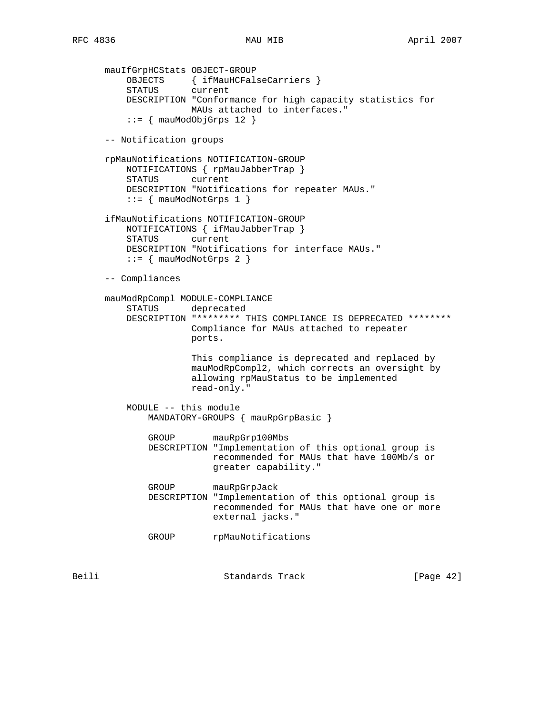mauIfGrpHCStats OBJECT-GROUP OBJECTS { ifMauHCFalseCarriers } STATUS current DESCRIPTION "Conformance for high capacity statistics for MAUs attached to interfaces."  $::=$  { mauModObjGrps 12 } -- Notification groups rpMauNotifications NOTIFICATION-GROUP NOTIFICATIONS { rpMauJabberTrap } STATUS current DESCRIPTION "Notifications for repeater MAUs."  $::=$  { mauModNotGrps 1 } ifMauNotifications NOTIFICATION-GROUP NOTIFICATIONS { ifMauJabberTrap } STATUS current DESCRIPTION "Notifications for interface MAUs."  $::=$  { mauModNotGrps 2 } -- Compliances mauModRpCompl MODULE-COMPLIANCE STATUS deprecated DESCRIPTION "\*\*\*\*\*\*\*\* THIS COMPLIANCE IS DEPRECATED \*\*\*\*\*\*\*\* Compliance for MAUs attached to repeater ports. This compliance is deprecated and replaced by mauModRpCompl2, which corrects an oversight by allowing rpMauStatus to be implemented read-only." MODULE -- this module MANDATORY-GROUPS { mauRpGrpBasic } GROUP mauRpGrp100Mbs DESCRIPTION "Implementation of this optional group is recommended for MAUs that have 100Mb/s or greater capability." GROUP mauRpGrpJack DESCRIPTION "Implementation of this optional group is recommended for MAUs that have one or more external jacks." GROUP rpMauNotifications

Beili Standards Track [Page 42]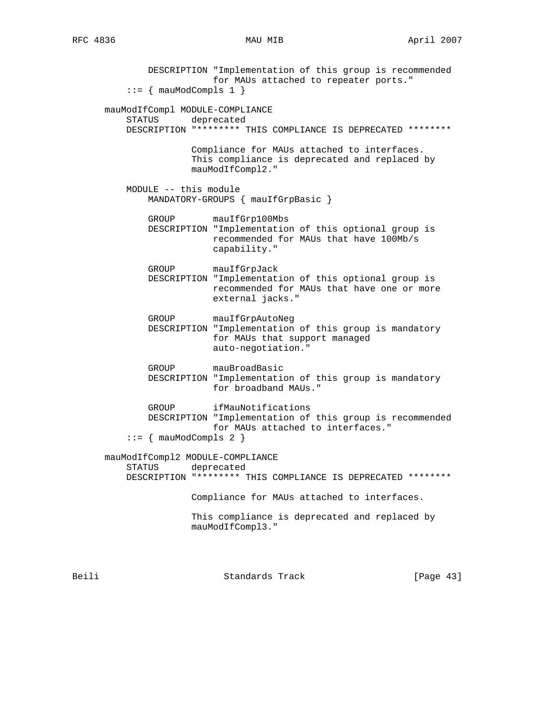DESCRIPTION "Implementation of this group is recommended for MAUs attached to repeater ports."  $::=$  { mauModCompls 1 } mauModIfCompl MODULE-COMPLIANCE STATUS deprecated DESCRIPTION "\*\*\*\*\*\*\*\* THIS COMPLIANCE IS DEPRECATED \*\*\*\*\*\*\*\* Compliance for MAUs attached to interfaces. This compliance is deprecated and replaced by mauModIfCompl2." MODULE -- this module MANDATORY-GROUPS { mauIfGrpBasic } GROUP mauIfGrp100Mbs DESCRIPTION "Implementation of this optional group is recommended for MAUs that have 100Mb/s capability." GROUP mauIfGrpJack DESCRIPTION "Implementation of this optional group is recommended for MAUs that have one or more external jacks." GROUP mauIfGrpAutoNeg DESCRIPTION "Implementation of this group is mandatory for MAUs that support managed auto-negotiation." GROUP mauBroadBasic DESCRIPTION "Implementation of this group is mandatory for broadband MAUs." GROUP ifMauNotifications DESCRIPTION "Implementation of this group is recommended for MAUs attached to interfaces."  $::=$  { mauModCompls 2 } mauModIfCompl2 MODULE-COMPLIANCE STATUS deprecated DESCRIPTION "\*\*\*\*\*\*\*\* THIS COMPLIANCE IS DEPRECATED \*\*\*\*\*\*\*\* Compliance for MAUs attached to interfaces. This compliance is deprecated and replaced by mauModIfCompl3."

Beili Standards Track [Page 43]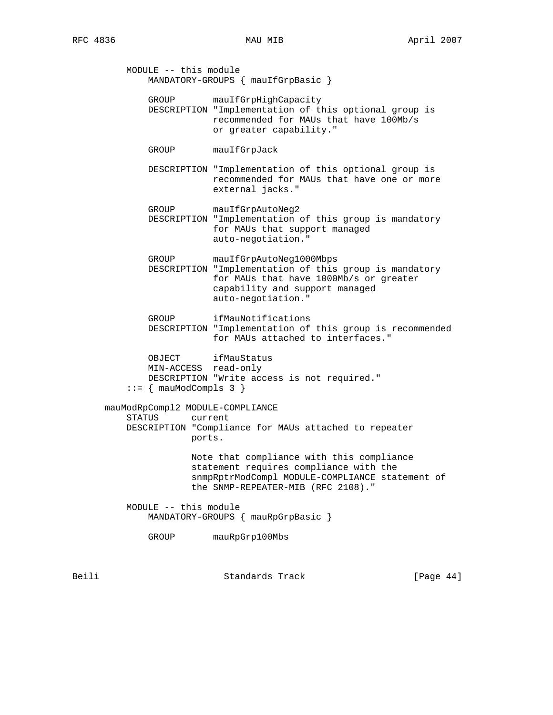MODULE -- this module MANDATORY-GROUPS { mauIfGrpBasic } GROUP mauIfGrpHighCapacity DESCRIPTION "Implementation of this optional group is recommended for MAUs that have 100Mb/s or greater capability." GROUP mauIfGrpJack DESCRIPTION "Implementation of this optional group is recommended for MAUs that have one or more external jacks." GROUP mauIfGrpAutoNeg2 DESCRIPTION "Implementation of this group is mandatory for MAUs that support managed auto-negotiation." GROUP mauIfGrpAutoNeg1000Mbps DESCRIPTION "Implementation of this group is mandatory for MAUs that have 1000Mb/s or greater capability and support managed auto-negotiation." GROUP ifMauNotifications DESCRIPTION "Implementation of this group is recommended for MAUs attached to interfaces." OBJECT ifMauStatus MIN-ACCESS read-only DESCRIPTION "Write access is not required."  $::=$  { mauModCompls 3 } mauModRpCompl2 MODULE-COMPLIANCE STATUS current DESCRIPTION "Compliance for MAUs attached to repeater ports. Note that compliance with this compliance statement requires compliance with the snmpRptrModCompl MODULE-COMPLIANCE statement of the SNMP-REPEATER-MIB (RFC 2108)." MODULE -- this module MANDATORY-GROUPS { mauRpGrpBasic } GROUP mauRpGrp100Mbs

Beili Standards Track [Page 44]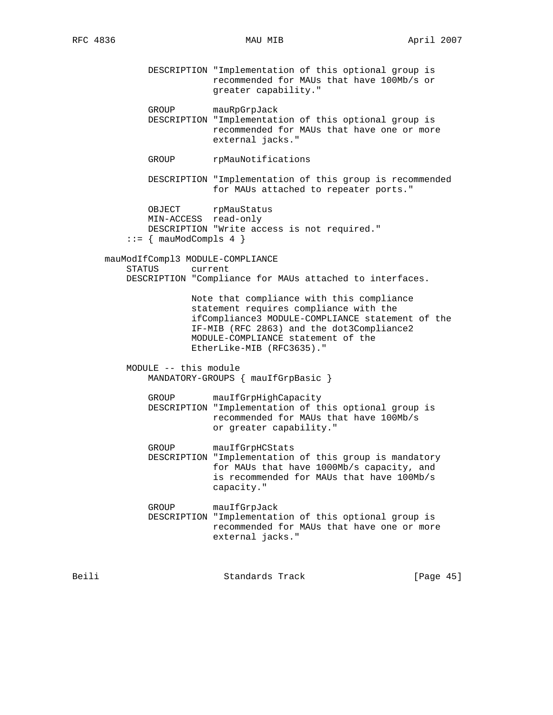- DESCRIPTION "Implementation of this optional group is recommended for MAUs that have 100Mb/s or greater capability."
- GROUP mauRpGrpJack
- DESCRIPTION "Implementation of this optional group is recommended for MAUs that have one or more external jacks."
- GROUP rpMauNotifications
- DESCRIPTION "Implementation of this group is recommended for MAUs attached to repeater ports."

```
OBJECT rpMauStatus
    MIN-ACCESS read-only
    DESCRIPTION "Write access is not required."
::= { mauModCompls 4 }
```
 mauModIfCompl3 MODULE-COMPLIANCE STATUS current DESCRIPTION "Compliance for MAUs attached to interfaces.

> Note that compliance with this compliance statement requires compliance with the ifCompliance3 MODULE-COMPLIANCE statement of the IF-MIB (RFC 2863) and the dot3Compliance2 MODULE-COMPLIANCE statement of the EtherLike-MIB (RFC3635)."

 MODULE -- this module MANDATORY-GROUPS { mauIfGrpBasic }

 GROUP mauIfGrpHighCapacity DESCRIPTION "Implementation of this optional group is recommended for MAUs that have 100Mb/s or greater capability."

GROUP mauIfGrpHCStats DESCRIPTION "Implementation of this group is mandatory for MAUs that have 1000Mb/s capacity, and is recommended for MAUs that have 100Mb/s capacity."

 GROUP mauIfGrpJack DESCRIPTION "Implementation of this optional group is recommended for MAUs that have one or more external jacks."

| Beili | Standards Track | [Page 45] |
|-------|-----------------|-----------|
|       |                 |           |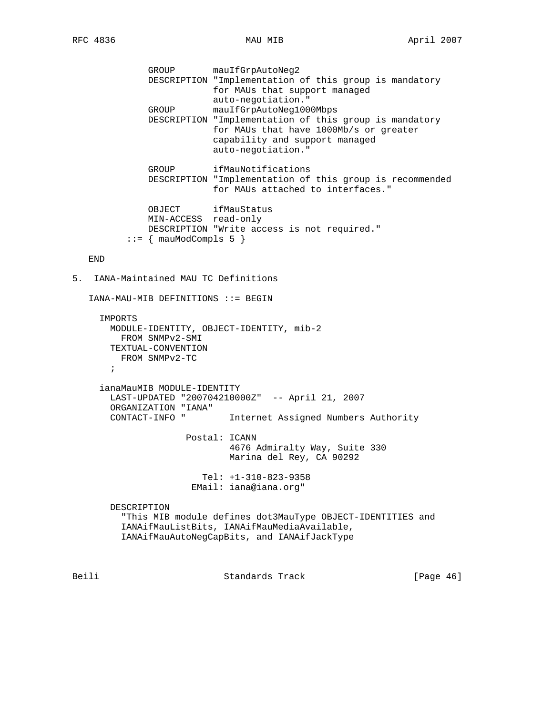GROUP mauIfGrpAutoNeg2 DESCRIPTION "Implementation of this group is mandatory for MAUs that support managed auto-negotiation." GROUP mauIfGrpAutoNeg1000Mbps DESCRIPTION "Implementation of this group is mandatory for MAUs that have 1000Mb/s or greater capability and support managed auto-negotiation." GROUP ifMauNotifications DESCRIPTION "Implementation of this group is recommended for MAUs attached to interfaces." OBJECT ifMauStatus MIN-ACCESS read-only DESCRIPTION "Write access is not required."  $::=$  { mauModCompls 5 } END 5. IANA-Maintained MAU TC Definitions IANA-MAU-MIB DEFINITIONS ::= BEGIN IMPORTS MODULE-IDENTITY, OBJECT-IDENTITY, mib-2 FROM SNMPv2-SMI TEXTUAL-CONVENTION FROM SNMPv2-TC  $\mathcal{L}^{\text{max}}$  ianaMauMIB MODULE-IDENTITY LAST-UPDATED "200704210000Z" -- April 21, 2007 ORGANIZATION "IANA" Internet Assigned Numbers Authority Postal: ICANN 4676 Admiralty Way, Suite 330 Marina del Rey, CA 90292 Tel: +1-310-823-9358 EMail: iana@iana.org" DESCRIPTION "This MIB module defines dot3MauType OBJECT-IDENTITIES and IANAifMauListBits, IANAifMauMediaAvailable, IANAifMauAutoNegCapBits, and IANAifJackType

Beili Standards Track [Page 46]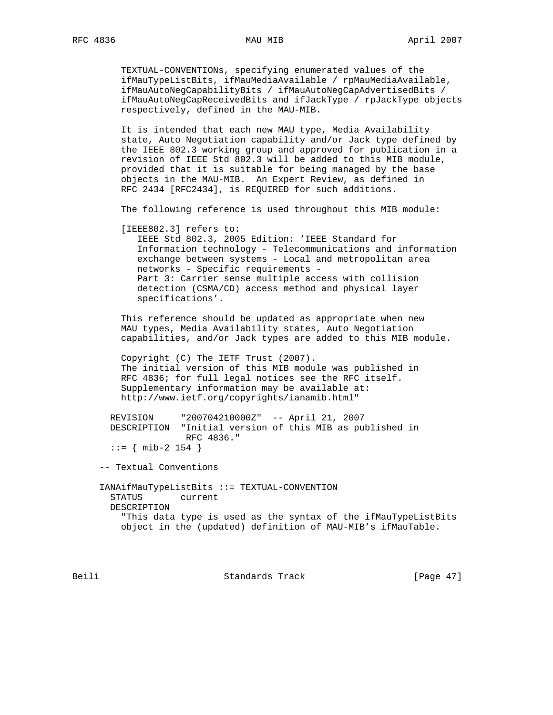TEXTUAL-CONVENTIONs, specifying enumerated values of the ifMauTypeListBits, ifMauMediaAvailable / rpMauMediaAvailable, ifMauAutoNegCapabilityBits / ifMauAutoNegCapAdvertisedBits / ifMauAutoNegCapReceivedBits and ifJackType / rpJackType objects respectively, defined in the MAU-MIB.

 It is intended that each new MAU type, Media Availability state, Auto Negotiation capability and/or Jack type defined by the IEEE 802.3 working group and approved for publication in a revision of IEEE Std 802.3 will be added to this MIB module, provided that it is suitable for being managed by the base objects in the MAU-MIB. An Expert Review, as defined in RFC 2434 [RFC2434], is REQUIRED for such additions.

The following reference is used throughout this MIB module:

[IEEE802.3] refers to:

 IEEE Std 802.3, 2005 Edition: 'IEEE Standard for Information technology - Telecommunications and information exchange between systems - Local and metropolitan area networks - Specific requirements - Part 3: Carrier sense multiple access with collision detection (CSMA/CD) access method and physical layer specifications'.

 This reference should be updated as appropriate when new MAU types, Media Availability states, Auto Negotiation capabilities, and/or Jack types are added to this MIB module.

 Copyright (C) The IETF Trust (2007). The initial version of this MIB module was published in RFC 4836; for full legal notices see the RFC itself. Supplementary information may be available at: http://www.ietf.org/copyrights/ianamib.html"

 REVISION "200704210000Z" -- April 21, 2007 DESCRIPTION "Initial version of this MIB as published in RFC 4836."  $::=$  { mib-2 154 }

-- Textual Conventions

 IANAifMauTypeListBits ::= TEXTUAL-CONVENTION STATUS current DESCRIPTION "This data type is used as the syntax of the ifMauTypeListBits object in the (updated) definition of MAU-MIB's ifMauTable.

Beili Standards Track [Page 47]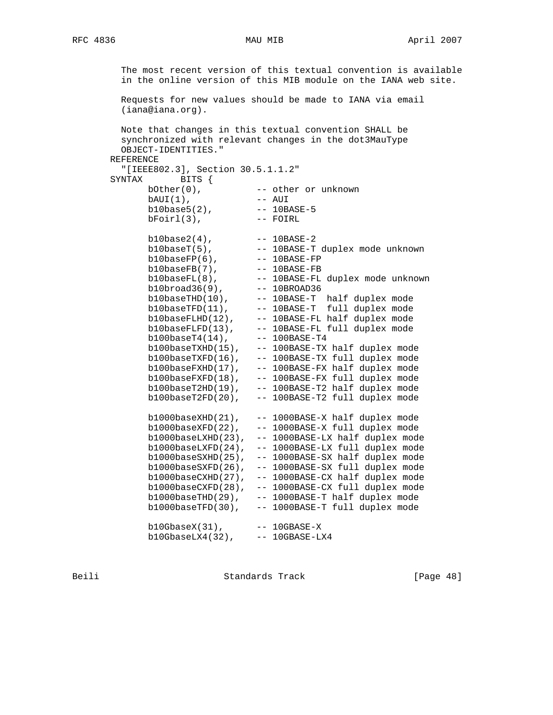The most recent version of this textual convention is available in the online version of this MIB module on the IANA web site. Requests for new values should be made to IANA via email (iana@iana.org). Note that changes in this textual convention SHALL be synchronized with relevant changes in the dot3MauType OBJECT-IDENTITIES." REFERENCE "[IEEE802.3], Section 30.5.1.1.2" SYNTAX BITS { bOther(0), The state or unknown bAUI(1), -- AUI b10base5(2), -- 10BASE-5 bFoirl(3), -- FOIRL b10base2(4), -- 10BASE-2 b10baseT(5), -- 10BASE-T duplex mode unknown b10baseFP(6), -- 10BASE-FP b10baseFB(7), -- 10BASE-FB b10baseFL(8), -- 10BASE-FL duplex mode unknown b10broad36(9), -- 10BROAD36 b10baseTHD(10), -- 10BASE-T half duplex mode  $b10$ baseTFD $(11)$ ,  $-10$ BASE-T full duplex mode b10baseFLHD(12), -- 10BASE-FL half duplex mode b10baseFLFD(13), -- 10BASE-FL full duplex mode b100baseT4(14), -- 100BASE-T4 b100baseTXHD(15), -- 100BASE-TX half duplex mode b100baseTXFD(16), -- 100BASE-TX full duplex mode b100baseFXHD(17), -- 100BASE-FX half duplex mode b100baseFXFD(18), -- 100BASE-FX full duplex mode b100baseT2HD(19), -- 100BASE-T2 half duplex mode b100baseT2FD(20), -- 100BASE-T2 full duplex mode b1000baseXHD(21), -- 1000BASE-X half duplex mode b1000baseXFD(22), -- 1000BASE-X full duplex mode b1000baseLXHD(23), -- 1000BASE-LX half duplex mode b1000baseLXFD(24), -- 1000BASE-LX full duplex mode b1000baseSXHD(25), -- 1000BASE-SX half duplex mode b1000baseSXFD(26), -- 1000BASE-SX full duplex mode b1000baseCXHD(27), -- 1000BASE-CX half duplex mode b1000baseCXFD(28), -- 1000BASE-CX full duplex mode b1000baseTHD(29), -- 1000BASE-T half duplex mode b1000baseTFD(30), -- 1000BASE-T full duplex mode b10GbaseX(31), -- 10GBASE-X

b10GbaseLX4(32), -- 10GBASE-LX4

Beili Standards Track [Page 48]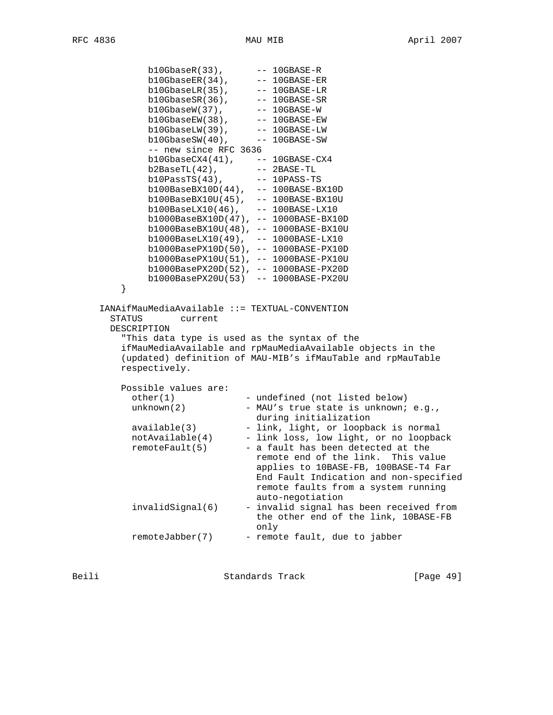```
 b10GbaseR(33), -- 10GBASE-R
 b10GbaseER(34), -- 10GBASE-ER
b10GbaseLR(35), -- 10GBASE-LR
 b10GbaseSR(36), -- 10GBASE-SR
 b10GbaseW(37), -- 10GBASE-W
 b10GbaseEW(38), -- 10GBASE-EW
 b10GbaseLW(39), -- 10GBASE-LW
 b10GbaseSW(40), -- 10GBASE-SW
             -- new since RFC 3636
             b10GbaseCX4(41), -- 10GBASE-CX4
 b2BaseTL(42), -- 2BASE-TL
 b10PassTS(43), -- 10PASS-TS
 b100BaseBX10D(44), -- 100BASE-BX10D
 b100BaseBX10U(45), -- 100BASE-BX10U
 b100BaseLX10(46), -- 100BASE-LX10
 b1000BaseBX10D(47), -- 1000BASE-BX10D
             b1000BaseBX10U(48), -- 1000BASE-BX10U
 b1000BaseLX10(49), -- 1000BASE-LX10
 b1000BasePX10D(50), -- 1000BASE-PX10D
             b1000BasePX10U(51), -- 1000BASE-PX10U
             b1000BasePX20D(52), -- 1000BASE-PX20D
        b1000BasePX20U(53) -- 1000BASE-PX20U<br>}
 }
     IANAifMauMediaAvailable ::= TEXTUAL-CONVENTION
       STATUS current
       DESCRIPTION
         "This data type is used as the syntax of the
        ifMauMediaAvailable and rpMauMediaAvailable objects in the
        (updated) definition of MAU-MIB's ifMauTable and rpMauTable
        respectively.
       Possible values are:<br>other(1)
                          - undefined (not listed below)
         unknown(2) - MAU's true state is unknown; e.g.,
         during initialization<br>available(3) - link, light, or loopba
         available(3) - link, light, or loopback is normal<br>notAvailable(4) - link loss, low light, or no loopback<br>
                            - link loss, low light, or no loopback
         remoteFault(5) - a fault has been detected at the
                               remote end of the link. This value
                               applies to 10BASE-FB, 100BASE-T4 Far
                               End Fault Indication and non-specified
                              remote faults from a system running
                              auto-negotiation
          invalidSignal(6) - invalid signal has been received from
                              the other end of the link, 10BASE-FB
                               only
         remoteJabber(7) - remote fault, due to jabber
```
Beili Standards Track [Page 49]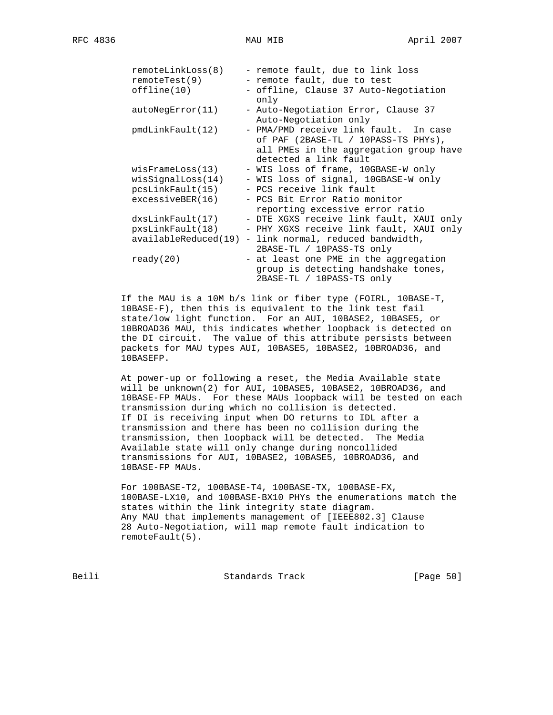| remoteLinkLoss(8) | - remote fault, due to link loss                                                                                                                |
|-------------------|-------------------------------------------------------------------------------------------------------------------------------------------------|
| remoteTest(9)     | - remote fault, due to test                                                                                                                     |
| $of$ fline $(10)$ | - offline, Clause 37 Auto-Negotiation<br>only                                                                                                   |
| autoNegError(11)  | - Auto-Negotiation Error, Clause 37<br>Auto-Negotiation only                                                                                    |
| pmdLinkFault(12)  | - PMA/PMD receive link fault. In case<br>of PAF (2BASE-TL / 10PASS-TS PHYs),<br>all PMEs in the aggregation group have<br>detected a link fault |
|                   |                                                                                                                                                 |
| wisFrameLoss(13)  | - WIS loss of frame, 10GBASE-W only                                                                                                             |
| wisSignalLoss(14) | - WIS loss of signal, 10GBASE-W only                                                                                                            |
|                   | pcsLinkFault(15) - PCS receive link fault                                                                                                       |
| excessiveBER(16)  | - PCS Bit Error Ratio monitor                                                                                                                   |
|                   | reporting excessive error ratio                                                                                                                 |
| dxsLinkFault(17)  | - DTE XGXS receive link fault, XAUI only                                                                                                        |
| pxsLinkFault(18)  | - PHY XGXS receive link fault, XAUI only                                                                                                        |
|                   | $availableReduced(19) - link normal, reduced bandwidth,$                                                                                        |
|                   | 2BASE-TL / 10PASS-TS only                                                                                                                       |
| ready(20)         | - at least one PME in the aggregation                                                                                                           |
|                   | group is detecting handshake tones,<br>2BASE-TL / 10PASS-TS only                                                                                |

 If the MAU is a 10M b/s link or fiber type (FOIRL, 10BASE-T, 10BASE-F), then this is equivalent to the link test fail state/low light function. For an AUI, 10BASE2, 10BASE5, or 10BROAD36 MAU, this indicates whether loopback is detected on the DI circuit. The value of this attribute persists between packets for MAU types AUI, 10BASE5, 10BASE2, 10BROAD36, and 10BASEFP.

 At power-up or following a reset, the Media Available state will be unknown(2) for AUI, 10BASE5, 10BASE2, 10BROAD36, and 10BASE-FP MAUs. For these MAUs loopback will be tested on each transmission during which no collision is detected. If DI is receiving input when DO returns to IDL after a transmission and there has been no collision during the transmission, then loopback will be detected. The Media Available state will only change during noncollided transmissions for AUI, 10BASE2, 10BASE5, 10BROAD36, and 10BASE-FP MAUs.

 For 100BASE-T2, 100BASE-T4, 100BASE-TX, 100BASE-FX, 100BASE-LX10, and 100BASE-BX10 PHYs the enumerations match the states within the link integrity state diagram. Any MAU that implements management of [IEEE802.3] Clause 28 Auto-Negotiation, will map remote fault indication to remoteFault(5).

Beili Standards Track [Page 50]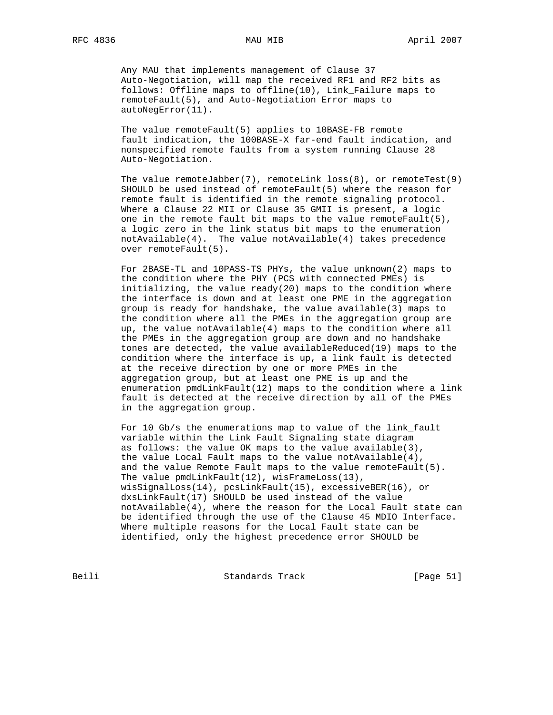Any MAU that implements management of Clause 37 Auto-Negotiation, will map the received RF1 and RF2 bits as follows: Offline maps to offline(10), Link\_Failure maps to remoteFault(5), and Auto-Negotiation Error maps to autoNegError(11).

 The value remoteFault(5) applies to 10BASE-FB remote fault indication, the 100BASE-X far-end fault indication, and nonspecified remote faults from a system running Clause 28 Auto-Negotiation.

The value remoteJabber(7), remoteLink loss(8), or remoteTest(9) SHOULD be used instead of remoteFault(5) where the reason for remote fault is identified in the remote signaling protocol. Where a Clause 22 MII or Clause 35 GMII is present, a logic one in the remote fault bit maps to the value remoteFault(5), a logic zero in the link status bit maps to the enumeration notAvailable(4). The value notAvailable(4) takes precedence over remoteFault(5).

 For 2BASE-TL and 10PASS-TS PHYs, the value unknown(2) maps to the condition where the PHY (PCS with connected PMEs) is initializing, the value ready(20) maps to the condition where the interface is down and at least one PME in the aggregation group is ready for handshake, the value available(3) maps to the condition where all the PMEs in the aggregation group are up, the value notAvailable(4) maps to the condition where all the PMEs in the aggregation group are down and no handshake tones are detected, the value availableReduced(19) maps to the condition where the interface is up, a link fault is detected at the receive direction by one or more PMEs in the aggregation group, but at least one PME is up and the enumeration pmdLinkFault(12) maps to the condition where a link fault is detected at the receive direction by all of the PMEs in the aggregation group.

 For 10 Gb/s the enumerations map to value of the link\_fault variable within the Link Fault Signaling state diagram as follows: the value OK maps to the value available(3), the value Local Fault maps to the value notAvailable(4), and the value Remote Fault maps to the value remoteFault(5). The value pmdLinkFault(12), wisFrameLoss(13), wisSignalLoss(14), pcsLinkFault(15), excessiveBER(16), or dxsLinkFault(17) SHOULD be used instead of the value notAvailable(4), where the reason for the Local Fault state can be identified through the use of the Clause 45 MDIO Interface. Where multiple reasons for the Local Fault state can be identified, only the highest precedence error SHOULD be

Beili Standards Track [Page 51]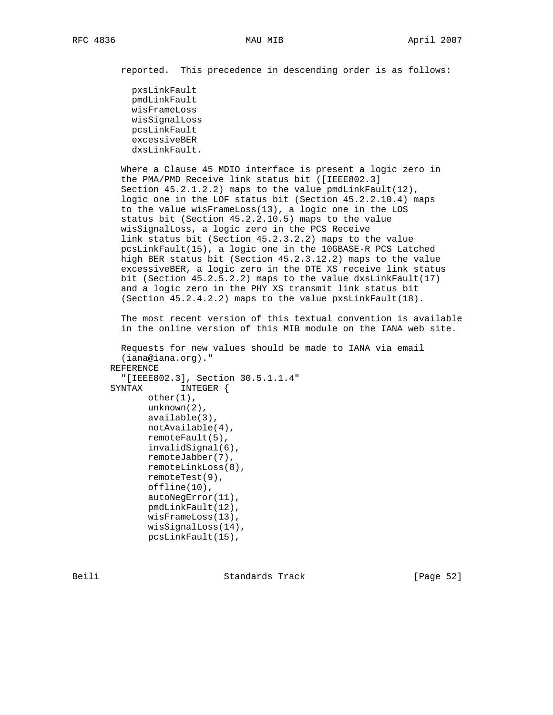reported. This precedence in descending order is as follows:

 pxsLinkFault pmdLinkFault wisFrameLoss wisSignalLoss pcsLinkFault excessiveBER dxsLinkFault.

 Where a Clause 45 MDIO interface is present a logic zero in the PMA/PMD Receive link status bit ([IEEE802.3] Section  $45.2.1.2.2$ ) maps to the value pmdLinkFault(12), logic one in the LOF status bit (Section 45.2.2.10.4) maps to the value wisFrameLoss(13), a logic one in the LOS status bit (Section 45.2.2.10.5) maps to the value wisSignalLoss, a logic zero in the PCS Receive link status bit (Section 45.2.3.2.2) maps to the value pcsLinkFault(15), a logic one in the 10GBASE-R PCS Latched high BER status bit (Section 45.2.3.12.2) maps to the value excessiveBER, a logic zero in the DTE XS receive link status bit (Section 45.2.5.2.2) maps to the value dxsLinkFault(17) and a logic zero in the PHY XS transmit link status bit (Section 45.2.4.2.2) maps to the value pxsLinkFault(18).

 The most recent version of this textual convention is available in the online version of this MIB module on the IANA web site.

```
 Requests for new values should be made to IANA via email
   (iana@iana.org)."
 REFERENCE
   "[IEEE802.3], Section 30.5.1.1.4"
SYNTAX INTEGER {
        other(1),
        unknown(2),
        available(3),
        notAvailable(4),
        remoteFault(5),
        invalidSignal(6),
        remoteJabber(7),
        remoteLinkLoss(8),
        remoteTest(9),
        offline(10),
        autoNegError(11),
        pmdLinkFault(12),
        wisFrameLoss(13),
        wisSignalLoss(14),
        pcsLinkFault(15),
```
Beili Standards Track [Page 52]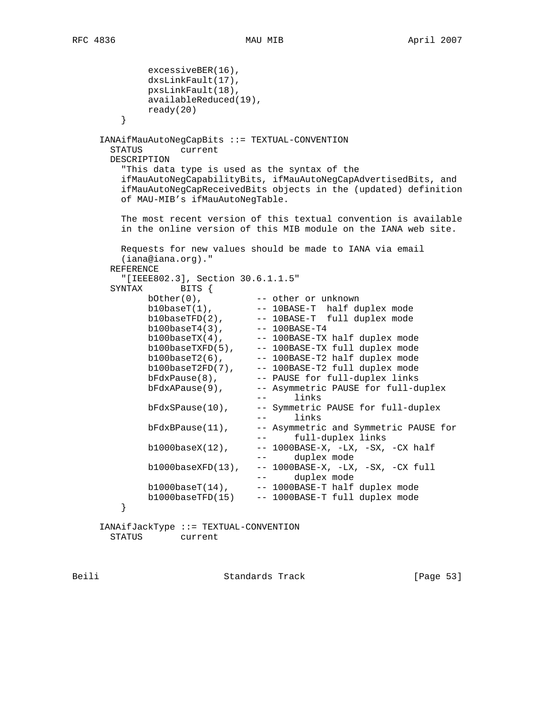```
 excessiveBER(16),
            dxsLinkFault(17),
            pxsLinkFault(18),
            availableReduced(19),
            ready(20)
 }
     IANAifMauAutoNegCapBits ::= TEXTUAL-CONVENTION
      STATUS current
      DESCRIPTION
        "This data type is used as the syntax of the
        ifMauAutoNegCapabilityBits, ifMauAutoNegCapAdvertisedBits, and
        ifMauAutoNegCapReceivedBits objects in the (updated) definition
        of MAU-MIB's ifMauAutoNegTable.
        The most recent version of this textual convention is available
        in the online version of this MIB module on the IANA web site.
        Requests for new values should be made to IANA via email
        (iana@iana.org)."
      REFERENCE
        "[IEEE802.3], Section 30.6.1.1.5"
      SYNTAX BITS {
bOther(0), --- other or unknown
b10baseT(1), - - 10BASE-T half duplex mode
b10baseTFD(2), -10BASE-T full duplex mode
 b100baseT4(3), -- 100BASE-T4
b100baseTX(4), -100BASE-TX half duplex mode
 b100baseTXFD(5), -- 100BASE-TX full duplex mode
b100baseT2(6), - -- 100BASE-T2 half duplex mode
 b100baseT2FD(7), -- 100BASE-T2 full duplex mode
bFdxPause(8), -- PAUSE for full-duplex links
bFdxAPause(9), -- Asymmetric PAUSE for full-duplex
 -- links
           bFdxSPause(10), -- Symmetric PAUSE for full-duplex
                            -- links
           bFdxBPause(11), -- Asymmetric and Symmetric PAUSE for
                            -- full-duplex links
           b1000baseX(12), --- 1000BASE-X, -LX, -SX, -CX half
                            -- duplex mode
           b1000baseXFD(13), -- 1000BASE-X, -LX, -SX, -CX full
 -- duplex mode
b1000baseT(14), -1000BASE-T half duplex mode
       b1000baseTFD(15) -- 1000BASE-T full duplex mode }
 }
     IANAifJackType ::= TEXTUAL-CONVENTION
```
STATUS current

Beili Standards Track [Page 53]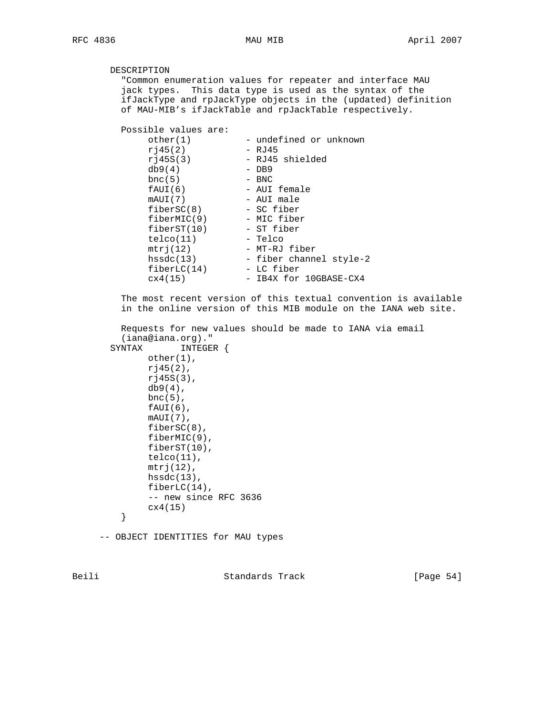# DESCRIPTION

 "Common enumeration values for repeater and interface MAU jack types. This data type is used as the syntax of the ifJackType and rpJackType objects in the (updated) definition of MAU-MIB's ifJackTable and rpJackTable respectively.

Possible values are:

| other(1)    | - undefined or unknown  |
|-------------|-------------------------|
| r145(2)     | - RJ45                  |
| r145S(3)    | - RJ45 shielded         |
| db9(4)      | $-$ DB9                 |
| bnc(5)      | - BNC                   |
| fAUI(6)     | - AUI female            |
| mAUI(7)     | - AUI male              |
| fiberSC(8)  | - SC fiber              |
| fiberMIC(9) | - MIC fiber             |
| fiberST(10) | - ST fiber              |
| telco(11)   | - Telco                 |
| mtrj(12)    | - MT-RJ fiber           |
| hssdc(13)   | - fiber channel style-2 |
| fiberLC(14) | - LC fiber              |
| cx4(15)     | - IB4X for 10GBASE-CX4  |

 The most recent version of this textual convention is available in the online version of this MIB module on the IANA web site.

```
 Requests for new values should be made to IANA via email
   (iana@iana.org)."
 SYNTAX INTEGER {
       other(1),
        rj45(2),
        rj45S(3),
       db9(4),
       bnc(5),
       fAUI(6),
        mAUI(7),
        fiberSC(8),
        fiberMIC(9),
        fiberST(10),
        telco(11),
       mtrj(12),
       hssdc(13),
        fiberLC(14),
        -- new since RFC 3636
        cx4(15)
   }
```
-- OBJECT IDENTITIES for MAU types

Beili Standards Track [Page 54]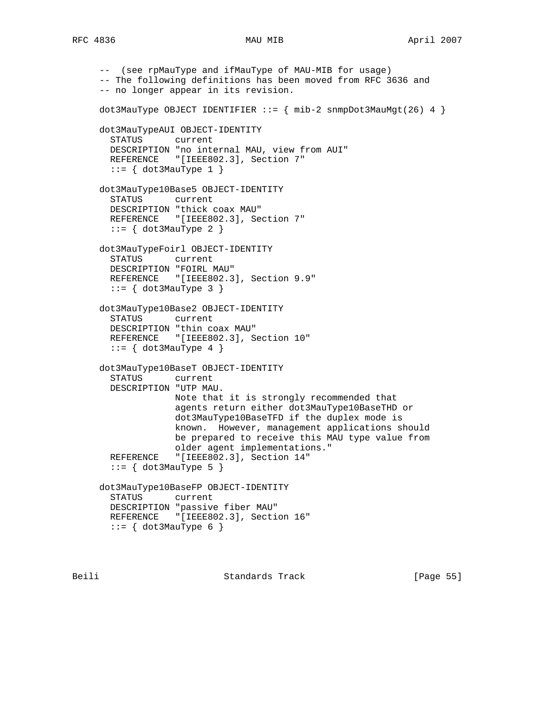```
 -- (see rpMauType and ifMauType of MAU-MIB for usage)
 -- The following definitions has been moved from RFC 3636 and
 -- no longer appear in its revision.
dot3MauType OBJECT IDENTIFIER ::= \{ mib-2 snmpDot3MauMgt(26) 4 \} dot3MauTypeAUI OBJECT-IDENTITY
  STATUS current
  DESCRIPTION "no internal MAU, view from AUI"
 REFERENCE "[IEEE802.3], Section 7"
 ::= \{ dot3MauType 1 \} dot3MauType10Base5 OBJECT-IDENTITY
   STATUS current
  DESCRIPTION "thick coax MAU"
  REFERENCE "[IEEE802.3], Section 7"
  ::= \{ dot3MauType 2 \} dot3MauTypeFoirl OBJECT-IDENTITY
   STATUS current
  DESCRIPTION "FOIRL MAU"
  REFERENCE "[IEEE802.3], Section 9.9"
  ::= \{ dot3MauType 3 \} dot3MauType10Base2 OBJECT-IDENTITY
   STATUS current
  DESCRIPTION "thin coax MAU"
 REFERENCE "[IEEE802.3], Section 10"
  ::= \{ dot3MauType 4 \} dot3MauType10BaseT OBJECT-IDENTITY
   STATUS current
  DESCRIPTION "UTP MAU.
              Note that it is strongly recommended that
               agents return either dot3MauType10BaseTHD or
               dot3MauType10BaseTFD if the duplex mode is
               known. However, management applications should
               be prepared to receive this MAU type value from
               older agent implementations."
   REFERENCE "[IEEE802.3], Section 14"
  ::= \{ dot3MauType 5 \} dot3MauType10BaseFP OBJECT-IDENTITY
  STATUS current
  DESCRIPTION "passive fiber MAU"
 REFERENCE "[IEEE802.3], Section 16"
 ::= \{ dot3MauType 6 \}
```
Beili Standards Track [Page 55]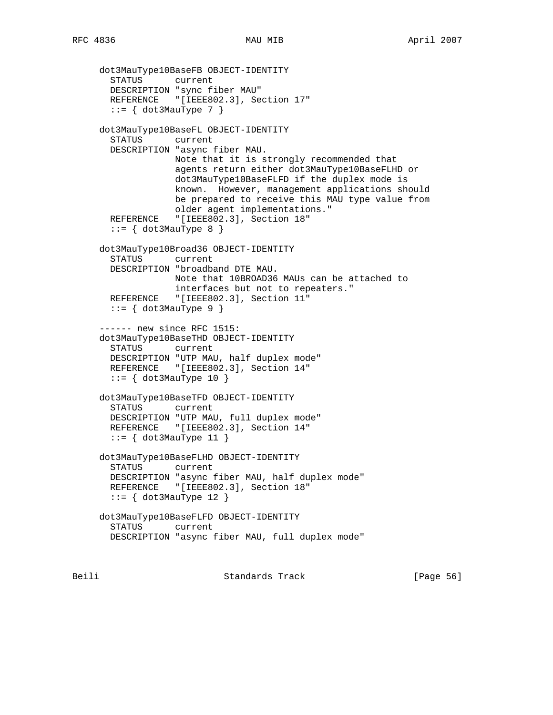```
 dot3MauType10BaseFB OBJECT-IDENTITY
  STATUS current
  DESCRIPTION "sync fiber MAU"
 REFERENCE "[IEEE802.3], Section 17"
  ::= \{ dot3MauType 7 \} dot3MauType10BaseFL OBJECT-IDENTITY
   STATUS current
   DESCRIPTION "async fiber MAU.
              Note that it is strongly recommended that
               agents return either dot3MauType10BaseFLHD or
               dot3MauType10BaseFLFD if the duplex mode is
              known. However, management applications should
               be prepared to receive this MAU type value from
               older agent implementations."
   REFERENCE "[IEEE802.3], Section 18"
  ::= \{ dot3MauType 8 \} dot3MauType10Broad36 OBJECT-IDENTITY
   STATUS current
   DESCRIPTION "broadband DTE MAU.
              Note that 10BROAD36 MAUs can be attached to
               interfaces but not to repeaters."
  REFERENCE "[IEEE802.3], Section 11"
   ::= { dot3MauType 9 }
 ------ new since RFC 1515:
 dot3MauType10BaseTHD OBJECT-IDENTITY
  STATUS current
  DESCRIPTION "UTP MAU, half duplex mode"
 REFERENCE "[IEEE802.3], Section 14"
  ::= { dot3MauType 10 }
 dot3MauType10BaseTFD OBJECT-IDENTITY
  STATUS current
  DESCRIPTION "UTP MAU, full duplex mode"
  REFERENCE "[IEEE802.3], Section 14"
  ::= { dot3MauType 11 }
 dot3MauType10BaseFLHD OBJECT-IDENTITY
   STATUS current
  DESCRIPTION "async fiber MAU, half duplex mode"
 REFERENCE "[IEEE802.3], Section 18"
  ::= { dot3MauType 12 }
 dot3MauType10BaseFLFD OBJECT-IDENTITY
   STATUS current
  DESCRIPTION "async fiber MAU, full duplex mode"
```
Beili Standards Track [Page 56]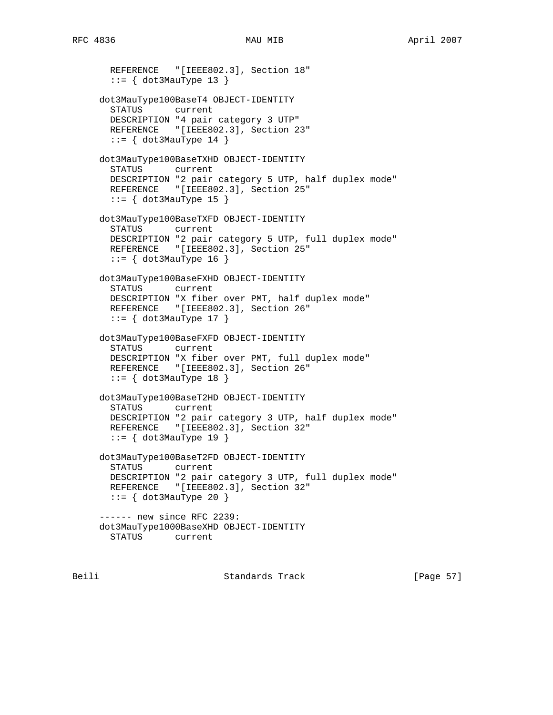```
REFERENCE "[IEEE802.3], Section 18"
  ::= { dot3MauType 13 }
 dot3MauType100BaseT4 OBJECT-IDENTITY
   STATUS current
  DESCRIPTION "4 pair category 3 UTP"
 REFERENCE "[IEEE802.3], Section 23"
 ::= \{ dot3MauType 14 \} dot3MauType100BaseTXHD OBJECT-IDENTITY
  STATUS current
  DESCRIPTION "2 pair category 5 UTP, half duplex mode"
 REFERENCE "[IEEE802.3], Section 25"
 ::= \{ dot3MauType 15 \} dot3MauType100BaseTXFD OBJECT-IDENTITY
  STATUS current
  DESCRIPTION "2 pair category 5 UTP, full duplex mode"
 REFERENCE "[IEEE802.3], Section 25"
 ::= \{ dot3MauType 16 \} dot3MauType100BaseFXHD OBJECT-IDENTITY
  STATUS current
  DESCRIPTION "X fiber over PMT, half duplex mode"
 REFERENCE "[IEEE802.3], Section 26"
 ::= { dot 3MauType 17 }
 dot3MauType100BaseFXFD OBJECT-IDENTITY
  STATUS current
  DESCRIPTION "X fiber over PMT, full duplex mode"
 REFERENCE "[IEEE802.3], Section 26"
  ::= { dot3MauType 18 }
 dot3MauType100BaseT2HD OBJECT-IDENTITY
  STATUS current
  DESCRIPTION "2 pair category 3 UTP, half duplex mode"
 REFERENCE "[IEEE802.3], Section 32"
 ::= { dot3MauType 19 }
 dot3MauType100BaseT2FD OBJECT-IDENTITY
  STATUS current
  DESCRIPTION "2 pair category 3 UTP, full duplex mode"
  REFERENCE "[IEEE802.3], Section 32"
 ::= { dot3MauType 20 }
 ------ new since RFC 2239:
 dot3MauType1000BaseXHD OBJECT-IDENTITY
  STATUS current
```
Beili Standards Track [Page 57]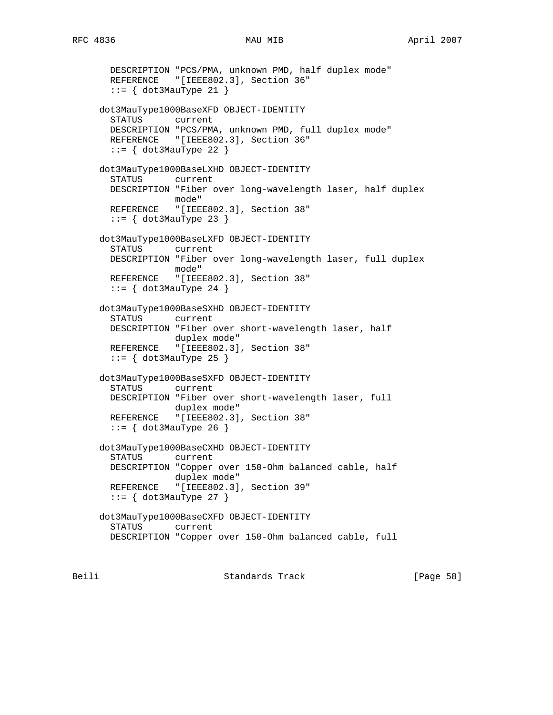DESCRIPTION "PCS/PMA, unknown PMD, half duplex mode"

```
RFC 4836 MAU MAU MIB April 2007
```

```
REFERENCE "[IEEE802.3], Section 36"
      ::= { dot3MauType 21 }
     dot3MauType1000BaseXFD OBJECT-IDENTITY
       STATUS current
       DESCRIPTION "PCS/PMA, unknown PMD, full duplex mode"
      REFERENCE "[IEEE802.3], Section 36"
      ::= { dot 3MauType 22 }
     dot3MauType1000BaseLXHD OBJECT-IDENTITY
       STATUS current
       DESCRIPTION "Fiber over long-wavelength laser, half duplex
                  mode"
      REFERENCE "[IEEE802.3], Section 38"
      ::= { dot3MauType 23 }
     dot3MauType1000BaseLXFD OBJECT-IDENTITY
       STATUS current
       DESCRIPTION "Fiber over long-wavelength laser, full duplex
                  mode"
       REFERENCE "[IEEE802.3], Section 38"
      ::= \{ dot3MauType 24 \} dot3MauType1000BaseSXHD OBJECT-IDENTITY
       STATUS current
       DESCRIPTION "Fiber over short-wavelength laser, half
 duplex mode"
 REFERENCE "[IEEE802.3], Section 38"
      ::= { dot3MauType 25 }
     dot3MauType1000BaseSXFD OBJECT-IDENTITY
       STATUS current
       DESCRIPTION "Fiber over short-wavelength laser, full
                  duplex mode"
      REFERENCE "[IEEE802.3], Section 38"
      ::= { dot3MauType 26 }
     dot3MauType1000BaseCXHD OBJECT-IDENTITY
       STATUS current
       DESCRIPTION "Copper over 150-Ohm balanced cable, half
                  duplex mode"
       REFERENCE "[IEEE802.3], Section 39"
      ::= { dot3MauType 27 }
     dot3MauType1000BaseCXFD OBJECT-IDENTITY
       STATUS current
       DESCRIPTION "Copper over 150-Ohm balanced cable, full
```
Beili Standards Track [Page 58]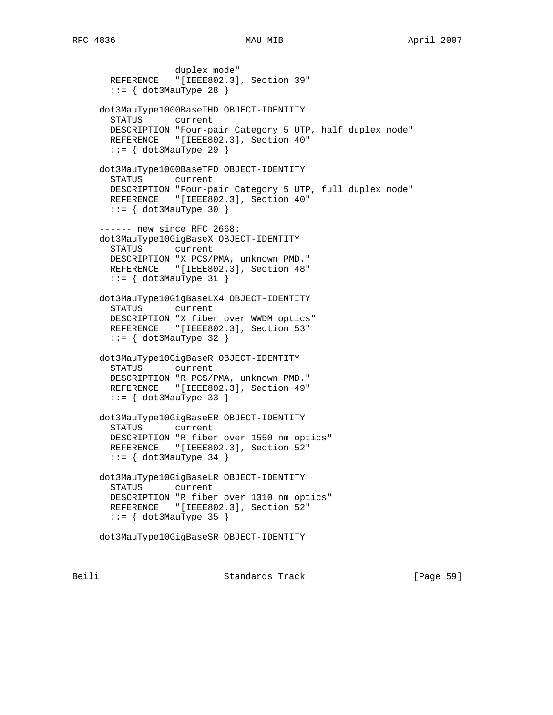duplex mode" REFERENCE "[IEEE802.3], Section 39"  $::=$  { dot3MauType 28 } dot3MauType1000BaseTHD OBJECT-IDENTITY STATUS current DESCRIPTION "Four-pair Category 5 UTP, half duplex mode" REFERENCE "[IEEE802.3], Section 40"  $::=$  { dot3MauType 29 } dot3MauType1000BaseTFD OBJECT-IDENTITY STATUS current DESCRIPTION "Four-pair Category 5 UTP, full duplex mode" REFERENCE "[IEEE802.3], Section 40"  $::=$  { dot3MauType 30 } ------ new since RFC 2668: dot3MauType10GigBaseX OBJECT-IDENTITY STATUS current DESCRIPTION "X PCS/PMA, unknown PMD." REFERENCE "[IEEE802.3], Section 48"  $::=$  { dot3MauType 31 } dot3MauType10GigBaseLX4 OBJECT-IDENTITY STATUS current DESCRIPTION "X fiber over WWDM optics" REFERENCE "[IEEE802.3], Section 53"  $::=$  { dot3MauType 32 } dot3MauType10GigBaseR OBJECT-IDENTITY STATUS current DESCRIPTION "R PCS/PMA, unknown PMD." REFERENCE "[IEEE802.3], Section 49"  $::=$   $\{ dot3MauType 33 \}$  dot3MauType10GigBaseER OBJECT-IDENTITY STATUS current DESCRIPTION "R fiber over 1550 nm optics" REFERENCE "[IEEE802.3], Section 52"  $::=$  { dot3MauType 34 } dot3MauType10GigBaseLR OBJECT-IDENTITY STATUS current DESCRIPTION "R fiber over 1310 nm optics" REFERENCE "[IEEE802.3], Section 52" ::= { dot3MauType 35 } dot3MauType10GigBaseSR OBJECT-IDENTITY

Beili Standards Track [Page 59]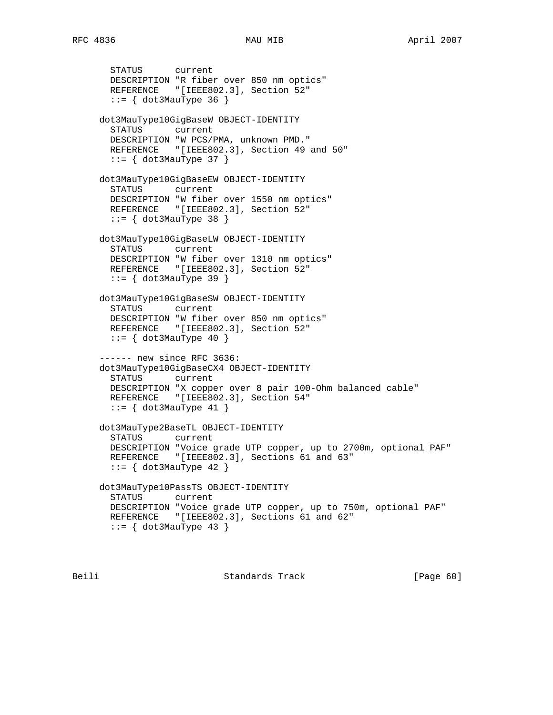```
 STATUS current
  DESCRIPTION "R fiber over 850 nm optics"
  REFERENCE "[IEEE802.3], Section 52"
  ::= { dot3MauType 36 }
 dot3MauType10GigBaseW OBJECT-IDENTITY
  STATUS current
  DESCRIPTION "W PCS/PMA, unknown PMD."
 REFERENCE "[IEEE802.3], Section 49 and 50"
 ::= { dot3MauType 37 }
 dot3MauType10GigBaseEW OBJECT-IDENTITY
  STATUS current
  DESCRIPTION "W fiber over 1550 nm optics"
 REFERENCE "[IEEE802.3], Section 52"
 ::= { dot3MauType 38 }
 dot3MauType10GigBaseLW OBJECT-IDENTITY
  STATUS current
  DESCRIPTION "W fiber over 1310 nm optics"
  REFERENCE "[IEEE802.3], Section 52"
 ::= \{ dot3MauType 39 \} dot3MauType10GigBaseSW OBJECT-IDENTITY
  STATUS current
  DESCRIPTION "W fiber over 850 nm optics"
 REFERENCE "[IEEE802.3], Section 52"
 ::= { dot3MauType 40 }
 ------ new since RFC 3636:
 dot3MauType10GigBaseCX4 OBJECT-IDENTITY
  STATUS current
  DESCRIPTION "X copper over 8 pair 100-Ohm balanced cable"
  REFERENCE "[IEEE802.3], Section 54"
 ::= \{ dot3MauType 41 \} dot3MauType2BaseTL OBJECT-IDENTITY
  STATUS current
  DESCRIPTION "Voice grade UTP copper, up to 2700m, optional PAF"
 REFERENCE "[IEEE802.3], Sections 61 and 63"
  ::= \{ dot3MauType 42 \} dot3MauType10PassTS OBJECT-IDENTITY
  STATUS current
  DESCRIPTION "Voice grade UTP copper, up to 750m, optional PAF"
 REFERENCE "[IEEE802.3], Sections 61 and 62"
 ::= { dot3MauType 43 }
```
Beili Standards Track [Page 60]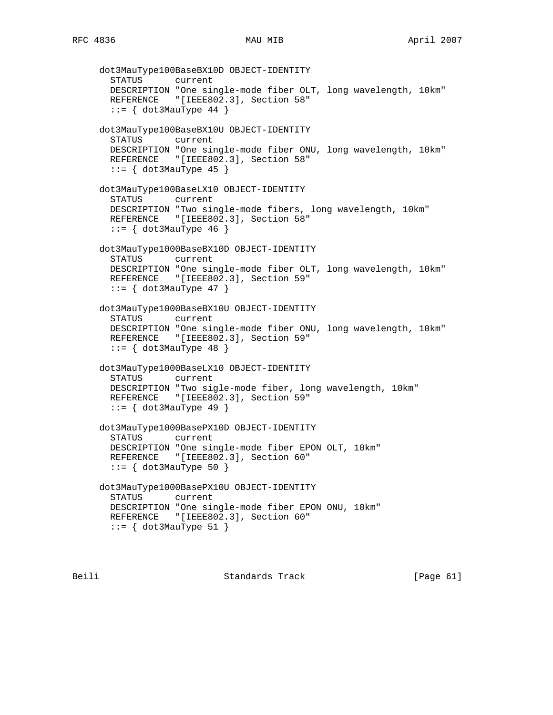```
 dot3MauType100BaseBX10D OBJECT-IDENTITY
  STATUS current
  DESCRIPTION "One single-mode fiber OLT, long wavelength, 10km"
 REFERENCE "[IEEE802.3], Section 58"
 ::= \{ dot3MauType 44 \} dot3MauType100BaseBX10U OBJECT-IDENTITY
  STATUS current
  DESCRIPTION "One single-mode fiber ONU, long wavelength, 10km"
  REFERENCE "[IEEE802.3], Section 58"
 ::= \{ dot3MauType 45 \} dot3MauType100BaseLX10 OBJECT-IDENTITY
   STATUS current
  DESCRIPTION "Two single-mode fibers, long wavelength, 10km"
 REFERENCE "[IEEE802.3], Section 58"
   ::= { dot3MauType 46 }
 dot3MauType1000BaseBX10D OBJECT-IDENTITY
   STATUS current
  DESCRIPTION "One single-mode fiber OLT, long wavelength, 10km"
  REFERENCE "[IEEE802.3], Section 59"
 ::= { dot 3MauType 47 }
 dot3MauType1000BaseBX10U OBJECT-IDENTITY
   STATUS current
  DESCRIPTION "One single-mode fiber ONU, long wavelength, 10km"
 REFERENCE "[IEEE802.3], Section 59"
  ::= \{ dot3MauType 48 \} dot3MauType1000BaseLX10 OBJECT-IDENTITY
  STATUS current
  DESCRIPTION "Two sigle-mode fiber, long wavelength, 10km"
  REFERENCE "[IEEE802.3], Section 59"
  ::= \{ dot3MauType 49 \} dot3MauType1000BasePX10D OBJECT-IDENTITY
   STATUS current
   DESCRIPTION "One single-mode fiber EPON OLT, 10km"
 REFERENCE "[IEEE802.3], Section 60"
  ::= \{ dot3MauType 50 \} dot3MauType1000BasePX10U OBJECT-IDENTITY
  STATUS current
  DESCRIPTION "One single-mode fiber EPON ONU, 10km"
 REFERENCE "[IEEE802.3], Section 60"
 ::= { dot 3MauType 51 }
```
Beili Standards Track [Page 61]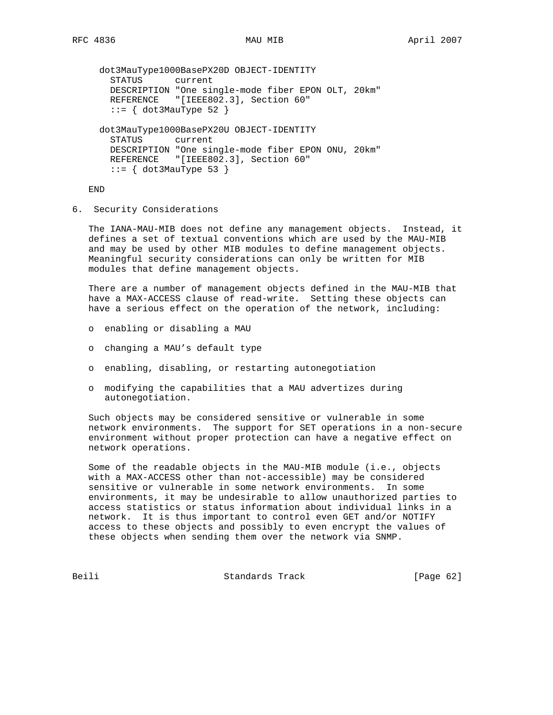```
 dot3MauType1000BasePX20D OBJECT-IDENTITY
  STATUS current
  DESCRIPTION "One single-mode fiber EPON OLT, 20km"
 REFERENCE "[IEEE802.3], Section 60"
 ::= \{ dot3MauType 52 \} dot3MauType1000BasePX20U OBJECT-IDENTITY
  STATUS current
  DESCRIPTION "One single-mode fiber EPON ONU, 20km"
 REFERENCE "[IEEE802.3], Section 60"
 ::= \{ dot3MauType 53 \}
```
END

6. Security Considerations

 The IANA-MAU-MIB does not define any management objects. Instead, it defines a set of textual conventions which are used by the MAU-MIB and may be used by other MIB modules to define management objects. Meaningful security considerations can only be written for MIB modules that define management objects.

 There are a number of management objects defined in the MAU-MIB that have a MAX-ACCESS clause of read-write. Setting these objects can have a serious effect on the operation of the network, including:

- o enabling or disabling a MAU
- o changing a MAU's default type
- o enabling, disabling, or restarting autonegotiation
- o modifying the capabilities that a MAU advertizes during autonegotiation.

 Such objects may be considered sensitive or vulnerable in some network environments. The support for SET operations in a non-secure environment without proper protection can have a negative effect on network operations.

 Some of the readable objects in the MAU-MIB module (i.e., objects with a MAX-ACCESS other than not-accessible) may be considered sensitive or vulnerable in some network environments. In some environments, it may be undesirable to allow unauthorized parties to access statistics or status information about individual links in a network. It is thus important to control even GET and/or NOTIFY access to these objects and possibly to even encrypt the values of these objects when sending them over the network via SNMP.

Beili Standards Track [Page 62]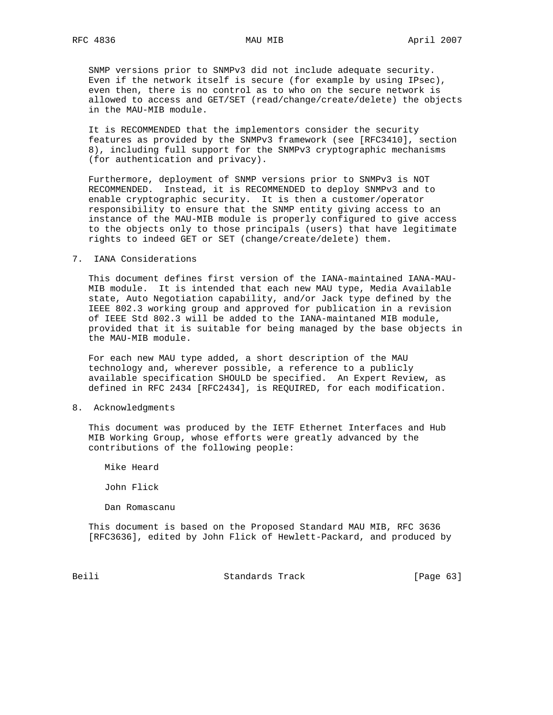SNMP versions prior to SNMPv3 did not include adequate security. Even if the network itself is secure (for example by using IPsec), even then, there is no control as to who on the secure network is allowed to access and GET/SET (read/change/create/delete) the objects in the MAU-MIB module.

 It is RECOMMENDED that the implementors consider the security features as provided by the SNMPv3 framework (see [RFC3410], section 8), including full support for the SNMPv3 cryptographic mechanisms (for authentication and privacy).

 Furthermore, deployment of SNMP versions prior to SNMPv3 is NOT RECOMMENDED. Instead, it is RECOMMENDED to deploy SNMPv3 and to enable cryptographic security. It is then a customer/operator responsibility to ensure that the SNMP entity giving access to an instance of the MAU-MIB module is properly configured to give access to the objects only to those principals (users) that have legitimate rights to indeed GET or SET (change/create/delete) them.

7. IANA Considerations

 This document defines first version of the IANA-maintained IANA-MAU- MIB module. It is intended that each new MAU type, Media Available state, Auto Negotiation capability, and/or Jack type defined by the IEEE 802.3 working group and approved for publication in a revision of IEEE Std 802.3 will be added to the IANA-maintaned MIB module, provided that it is suitable for being managed by the base objects in the MAU-MIB module.

 For each new MAU type added, a short description of the MAU technology and, wherever possible, a reference to a publicly available specification SHOULD be specified. An Expert Review, as defined in RFC 2434 [RFC2434], is REQUIRED, for each modification.

8. Acknowledgments

 This document was produced by the IETF Ethernet Interfaces and Hub MIB Working Group, whose efforts were greatly advanced by the contributions of the following people:

Mike Heard

John Flick

Dan Romascanu

 This document is based on the Proposed Standard MAU MIB, RFC 3636 [RFC3636], edited by John Flick of Hewlett-Packard, and produced by

Beili Standards Track [Page 63]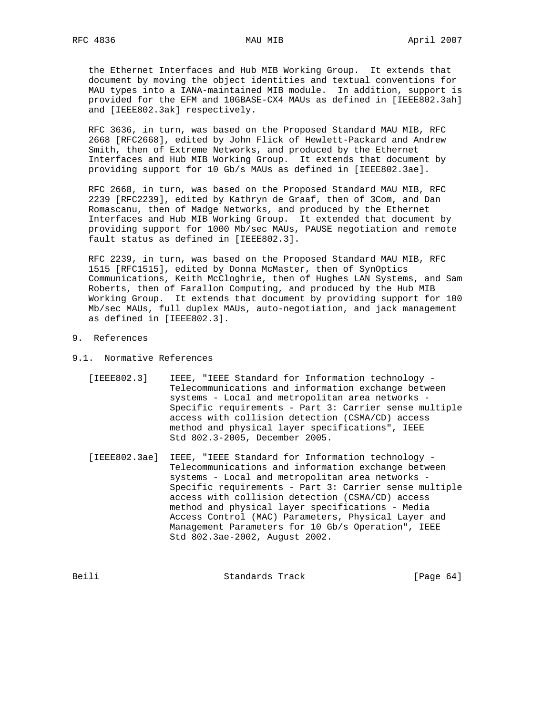the Ethernet Interfaces and Hub MIB Working Group. It extends that document by moving the object identities and textual conventions for MAU types into a IANA-maintained MIB module. In addition, support is provided for the EFM and 10GBASE-CX4 MAUs as defined in [IEEE802.3ah] and [IEEE802.3ak] respectively.

 RFC 3636, in turn, was based on the Proposed Standard MAU MIB, RFC 2668 [RFC2668], edited by John Flick of Hewlett-Packard and Andrew Smith, then of Extreme Networks, and produced by the Ethernet Interfaces and Hub MIB Working Group. It extends that document by providing support for 10 Gb/s MAUs as defined in [IEEE802.3ae].

 RFC 2668, in turn, was based on the Proposed Standard MAU MIB, RFC 2239 [RFC2239], edited by Kathryn de Graaf, then of 3Com, and Dan Romascanu, then of Madge Networks, and produced by the Ethernet Interfaces and Hub MIB Working Group. It extended that document by providing support for 1000 Mb/sec MAUs, PAUSE negotiation and remote fault status as defined in [IEEE802.3].

 RFC 2239, in turn, was based on the Proposed Standard MAU MIB, RFC 1515 [RFC1515], edited by Donna McMaster, then of SynOptics Communications, Keith McCloghrie, then of Hughes LAN Systems, and Sam Roberts, then of Farallon Computing, and produced by the Hub MIB Working Group. It extends that document by providing support for 100 Mb/sec MAUs, full duplex MAUs, auto-negotiation, and jack management as defined in [IEEE802.3].

- 9. References
- 9.1. Normative References
	- [IEEE802.3] IEEE, "IEEE Standard for Information technology Telecommunications and information exchange between systems - Local and metropolitan area networks - Specific requirements - Part 3: Carrier sense multiple access with collision detection (CSMA/CD) access method and physical layer specifications", IEEE Std 802.3-2005, December 2005.
	- [IEEE802.3ae] IEEE, "IEEE Standard for Information technology Telecommunications and information exchange between systems - Local and metropolitan area networks - Specific requirements - Part 3: Carrier sense multiple access with collision detection (CSMA/CD) access method and physical layer specifications - Media Access Control (MAC) Parameters, Physical Layer and Management Parameters for 10 Gb/s Operation", IEEE Std 802.3ae-2002, August 2002.

| Beili | Standards Track | [Page $64$ ] |
|-------|-----------------|--------------|
|       |                 |              |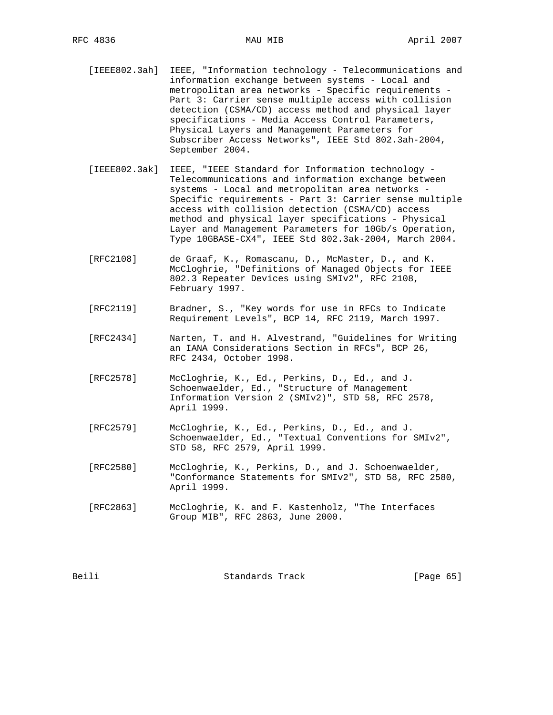- [IEEE802.3ah] IEEE, "Information technology Telecommunications and information exchange between systems - Local and metropolitan area networks - Specific requirements - Part 3: Carrier sense multiple access with collision detection (CSMA/CD) access method and physical layer specifications - Media Access Control Parameters, Physical Layers and Management Parameters for Subscriber Access Networks", IEEE Std 802.3ah-2004, September 2004.
- [IEEE802.3ak] IEEE, "IEEE Standard for Information technology Telecommunications and information exchange between systems - Local and metropolitan area networks - Specific requirements - Part 3: Carrier sense multiple access with collision detection (CSMA/CD) access method and physical layer specifications - Physical Layer and Management Parameters for 10Gb/s Operation, Type 10GBASE-CX4", IEEE Std 802.3ak-2004, March 2004.
- [RFC2108] de Graaf, K., Romascanu, D., McMaster, D., and K. McCloghrie, "Definitions of Managed Objects for IEEE 802.3 Repeater Devices using SMIv2", RFC 2108, February 1997.
- [RFC2119] Bradner, S., "Key words for use in RFCs to Indicate Requirement Levels", BCP 14, RFC 2119, March 1997.
- [RFC2434] Narten, T. and H. Alvestrand, "Guidelines for Writing an IANA Considerations Section in RFCs", BCP 26, RFC 2434, October 1998.
- [RFC2578] McCloghrie, K., Ed., Perkins, D., Ed., and J. Schoenwaelder, Ed., "Structure of Management Information Version 2 (SMIv2)", STD 58, RFC 2578, April 1999.
- [RFC2579] McCloghrie, K., Ed., Perkins, D., Ed., and J. Schoenwaelder, Ed., "Textual Conventions for SMIv2", STD 58, RFC 2579, April 1999.
- [RFC2580] McCloghrie, K., Perkins, D., and J. Schoenwaelder, "Conformance Statements for SMIv2", STD 58, RFC 2580, April 1999.
- [RFC2863] McCloghrie, K. and F. Kastenholz, "The Interfaces Group MIB", RFC 2863, June 2000.

Beili Standards Track [Page 65]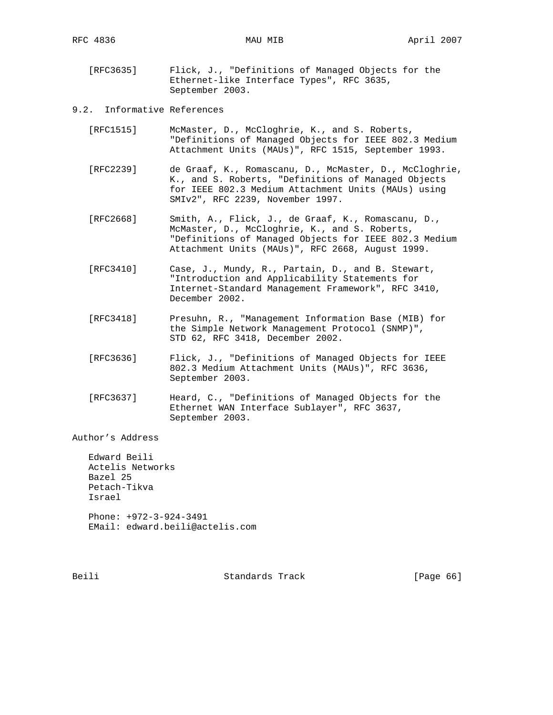- [RFC3635] Flick, J., "Definitions of Managed Objects for the Ethernet-like Interface Types", RFC 3635, September 2003.
- 9.2. Informative References
	- [RFC1515] McMaster, D., McCloghrie, K., and S. Roberts, "Definitions of Managed Objects for IEEE 802.3 Medium Attachment Units (MAUs)", RFC 1515, September 1993.
	- [RFC2239] de Graaf, K., Romascanu, D., McMaster, D., McCloghrie, K., and S. Roberts, "Definitions of Managed Objects for IEEE 802.3 Medium Attachment Units (MAUs) using SMIv2", RFC 2239, November 1997.
	- [RFC2668] Smith, A., Flick, J., de Graaf, K., Romascanu, D., McMaster, D., McCloghrie, K., and S. Roberts, "Definitions of Managed Objects for IEEE 802.3 Medium Attachment Units (MAUs)", RFC 2668, August 1999.
	- [RFC3410] Case, J., Mundy, R., Partain, D., and B. Stewart, "Introduction and Applicability Statements for Internet-Standard Management Framework", RFC 3410, December 2002.
	- [RFC3418] Presuhn, R., "Management Information Base (MIB) for the Simple Network Management Protocol (SNMP)", STD 62, RFC 3418, December 2002.
	- [RFC3636] Flick, J., "Definitions of Managed Objects for IEEE 802.3 Medium Attachment Units (MAUs)", RFC 3636, September 2003.
	- [RFC3637] Heard, C., "Definitions of Managed Objects for the Ethernet WAN Interface Sublayer", RFC 3637, September 2003.

Author's Address

 Edward Beili Actelis Networks Bazel 25 Petach-Tikva Israel Phone: +972-3-924-3491 EMail: edward.beili@actelis.com

Beili Standards Track [Page 66]